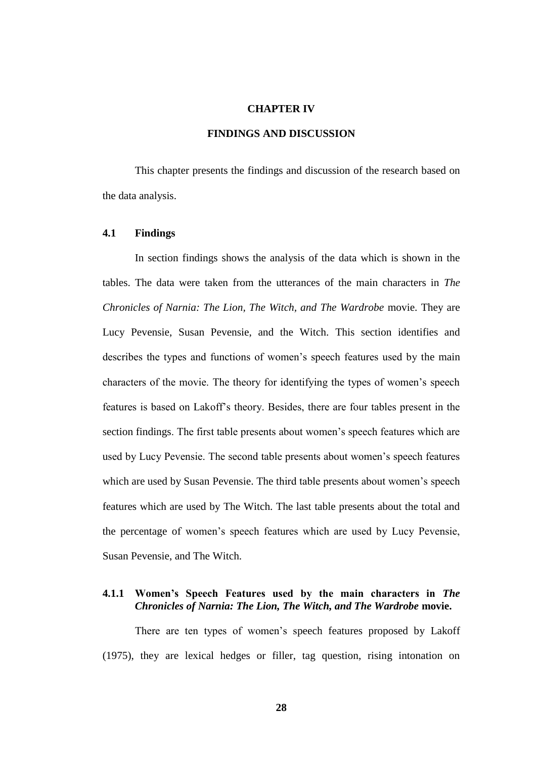#### **CHAPTER IV**

## **FINDINGS AND DISCUSSION**

This chapter presents the findings and discussion of the research based on the data analysis.

## **4.1 Findings**

In section findings shows the analysis of the data which is shown in the tables. The data were taken from the utterances of the main characters in *The Chronicles of Narnia: The Lion, The Witch, and The Wardrobe* movie. They are Lucy Pevensie, Susan Pevensie, and the Witch. This section identifies and describes the types and functions of women"s speech features used by the main characters of the movie. The theory for identifying the types of women"s speech features is based on Lakoff"s theory. Besides, there are four tables present in the section findings. The first table presents about women"s speech features which are used by Lucy Pevensie. The second table presents about women"s speech features which are used by Susan Pevensie. The third table presents about women's speech features which are used by The Witch. The last table presents about the total and the percentage of women"s speech features which are used by Lucy Pevensie, Susan Pevensie, and The Witch.

## **4.1.1 Women's Speech Features used by the main characters in** *The Chronicles of Narnia: The Lion, The Witch, and The Wardrobe* **movie.**

There are ten types of women's speech features proposed by Lakoff (1975), they are lexical hedges or filler, tag question, rising intonation on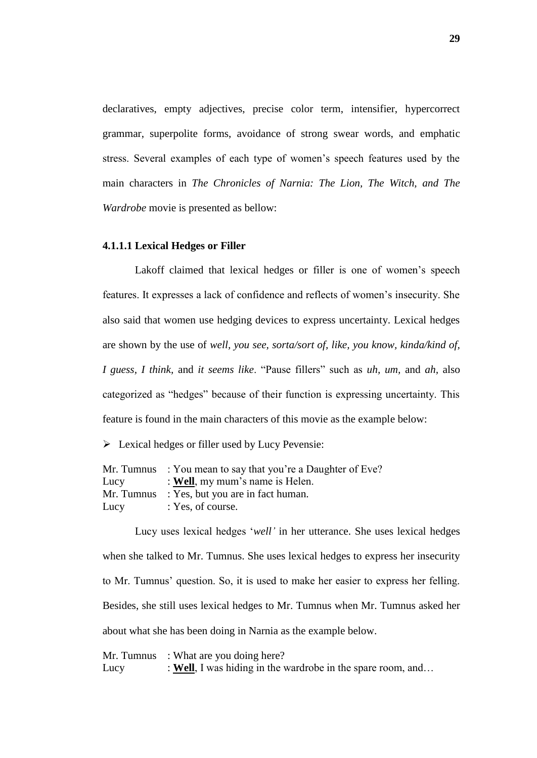declaratives, empty adjectives, precise color term, intensifier, hypercorrect grammar, superpolite forms, avoidance of strong swear words, and emphatic stress. Several examples of each type of women"s speech features used by the main characters in *The Chronicles of Narnia: The Lion, The Witch, and The Wardrobe* movie is presented as bellow:

#### **4.1.1.1 Lexical Hedges or Filler**

Lakoff claimed that lexical hedges or filler is one of women"s speech features. It expresses a lack of confidence and reflects of women"s insecurity. She also said that women use hedging devices to express uncertainty. Lexical hedges are shown by the use of *well, you see, sorta/sort of, like, you know, kinda/kind of, I guess, I think,* and *it seems like*. "Pause fillers" such as *uh, um,* and *ah,* also categorized as "hedges" because of their function is expressing uncertainty. This feature is found in the main characters of this movie as the example below:

 $\triangleright$  Lexical hedges or filler used by Lucy Pevensie:

|      | Mr. Tumnus : You mean to say that you're a Daughter of Eve? |
|------|-------------------------------------------------------------|
| Lucy | : Well, my mum's name is Helen.                             |
|      | Mr. Tumnus : Yes, but you are in fact human.                |
| Lucy | : Yes, of course.                                           |

Lucy uses lexical hedges "*well"* in her utterance. She uses lexical hedges when she talked to Mr. Tumnus. She uses lexical hedges to express her insecurity to Mr. Tumnus' question. So, it is used to make her easier to express her felling. Besides, she still uses lexical hedges to Mr. Tumnus when Mr. Tumnus asked her about what she has been doing in Narnia as the example below.

Mr. Tumnus : What are you doing here? Lucy : **Well**, I was hiding in the wardrobe in the spare room, and...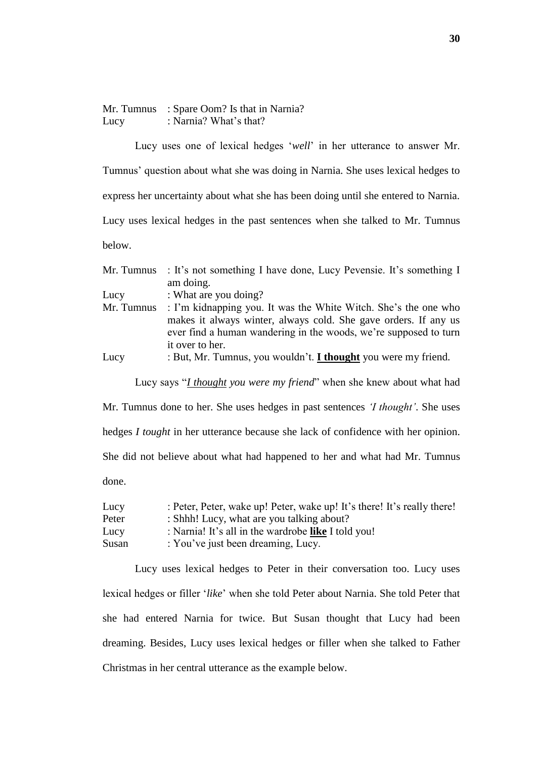Mr. Tumnus : Spare Oom? Is that in Narnia? Lucy : Narnia? What's that?

Lucy uses one of lexical hedges "*well*" in her utterance to answer Mr.

Tumnus" question about what she was doing in Narnia. She uses lexical hedges to

express her uncertainty about what she has been doing until she entered to Narnia.

Lucy uses lexical hedges in the past sentences when she talked to Mr. Tumnus

below.

| Mr. Tumnus | : It's not something I have done, Lucy Pevensie. It's something I     |
|------------|-----------------------------------------------------------------------|
|            | am doing.                                                             |
| Lucy       | : What are you doing?                                                 |
| Mr. Tumnus | : I'm kidnapping you. It was the White Witch. She's the one who       |
|            | makes it always winter, always cold. She gave orders. If any us       |
|            | ever find a human wandering in the woods, we're supposed to turn      |
|            | it over to her.                                                       |
| Lucy       | : But, Mr. Tumnus, you wouldn't. <i>I thought</i> you were my friend. |

Lucy says "*I thought you were my friend*" when she knew about what had

Mr. Tumnus done to her. She uses hedges in past sentences *"I thought"*. She uses hedges *I tought* in her utterance because she lack of confidence with her opinion. She did not believe about what had happened to her and what had Mr. Tumnus done.

| Lucy  | : Peter, Peter, wake up! Peter, wake up! It's there! It's really there! |
|-------|-------------------------------------------------------------------------|
| Peter | : Shhh! Lucy, what are you talking about?                               |
| Lucy  | : Narnia! It's all in the wardrobe like I told you!                     |
| Susan | : You've just been dreaming, Lucy.                                      |

Lucy uses lexical hedges to Peter in their conversation too. Lucy uses lexical hedges or filler "*like*" when she told Peter about Narnia. She told Peter that she had entered Narnia for twice. But Susan thought that Lucy had been dreaming. Besides, Lucy uses lexical hedges or filler when she talked to Father Christmas in her central utterance as the example below.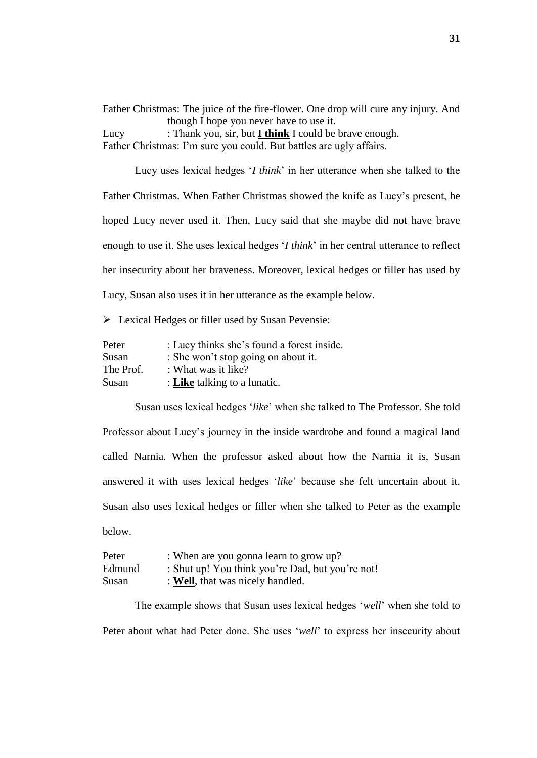Father Christmas: The juice of the fire-flower. One drop will cure any injury. And though I hope you never have to use it.

Lucy : Thank you, sir, but **I think** I could be brave enough. Father Christmas: I'm sure you could. But battles are ugly affairs.

Lucy uses lexical hedges "*I think*" in her utterance when she talked to the Father Christmas. When Father Christmas showed the knife as Lucy"s present, he hoped Lucy never used it. Then, Lucy said that she maybe did not have brave enough to use it. She uses lexical hedges "*I think*" in her central utterance to reflect her insecurity about her braveness. Moreover, lexical hedges or filler has used by Lucy, Susan also uses it in her utterance as the example below.

Example 1 Hedges or filler used by Susan Pevensie:

| Peter     | : Lucy thinks she's found a forest inside. |
|-----------|--------------------------------------------|
| Susan     | : She won't stop going on about it.        |
| The Prof. | : What was it like?                        |
| Susan     | : Like talking to a lunatic.               |

Susan uses lexical hedges "*like*" when she talked to The Professor. She told Professor about Lucy"s journey in the inside wardrobe and found a magical land called Narnia. When the professor asked about how the Narnia it is, Susan answered it with uses lexical hedges "*like*" because she felt uncertain about it. Susan also uses lexical hedges or filler when she talked to Peter as the example below.

| Peter  | : When are you gonna learn to grow up?           |
|--------|--------------------------------------------------|
| Edmund | : Shut up! You think you're Dad, but you're not! |
| Susan  | : Well, that was nicely handled.                 |

The example shows that Susan uses lexical hedges "*well*" when she told to Peter about what had Peter done. She uses "*well*" to express her insecurity about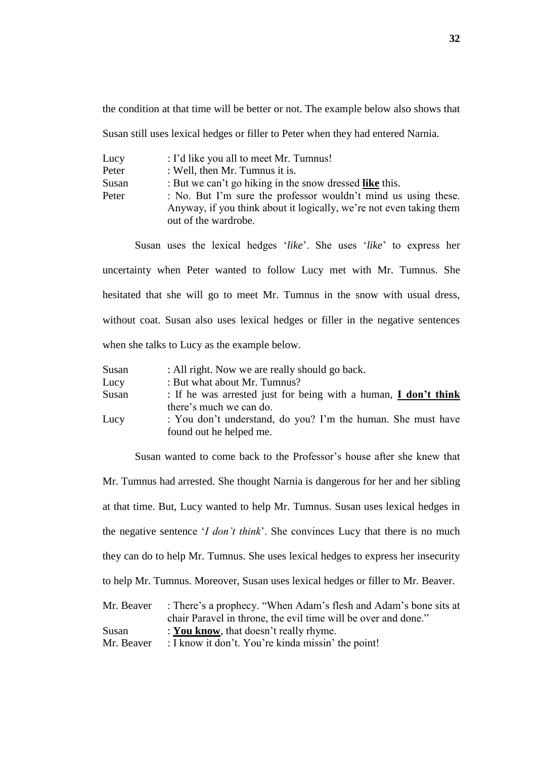the condition at that time will be better or not. The example below also shows that

Susan still uses lexical hedges or filler to Peter when they had entered Narnia.

| Lucy  | : I'd like you all to meet Mr. Tumnus!                                                                                                                        |
|-------|---------------------------------------------------------------------------------------------------------------------------------------------------------------|
| Peter | : Well, then Mr. Tumnus it is.                                                                                                                                |
| Susan | : But we can't go hiking in the snow dressed like this.                                                                                                       |
| Peter | : No. But I'm sure the professor wouldn't mind us using these.<br>Anyway, if you think about it logically, we're not even taking them<br>out of the wardrobe. |

Susan uses the lexical hedges "*like*". She uses "*like*" to express her uncertainty when Peter wanted to follow Lucy met with Mr. Tumnus. She hesitated that she will go to meet Mr. Tumnus in the snow with usual dress, without coat. Susan also uses lexical hedges or filler in the negative sentences when she talks to Lucy as the example below.

| Susan | : All right. Now we are really should go back.                         |
|-------|------------------------------------------------------------------------|
| Lucy  | : But what about Mr. Tumnus?                                           |
| Susan | : If he was arrested just for being with a human, <b>I don't think</b> |
|       | there's much we can do.                                                |
| Lucy  | : You don't understand, do you? I'm the human. She must have           |
|       | found out he helped me.                                                |

Susan wanted to come back to the Professor's house after she knew that

Mr. Tumnus had arrested. She thought Narnia is dangerous for her and her sibling at that time. But, Lucy wanted to help Mr. Tumnus. Susan uses lexical hedges in the negative sentence "*I don"t think*". She convinces Lucy that there is no much they can do to help Mr. Tumnus. She uses lexical hedges to express her insecurity to help Mr. Tumnus. Moreover, Susan uses lexical hedges or filler to Mr. Beaver. Mr. Beaver : There's a prophecy. "When Adam's flesh and Adam's bone sits at

|            | NIT. Beaver Finere s a prophecy. When Adam s flesh and Adam s bone sits at |
|------------|----------------------------------------------------------------------------|
|            | chair Paravel in throne, the evil time will be over and done."             |
| Susan      | : You know, that doesn't really rhyme.                                     |
| Mr. Beaver | : I know it don't. You're kinda missin' the point!                         |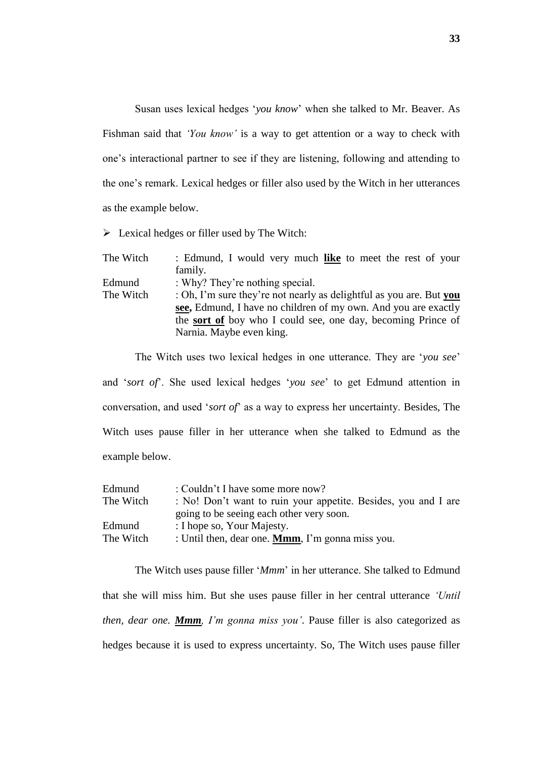Susan uses lexical hedges "*you know*" when she talked to Mr. Beaver. As Fishman said that *'You know'* is a way to get attention or a way to check with one"s interactional partner to see if they are listening, following and attending to the one"s remark. Lexical hedges or filler also used by the Witch in her utterances as the example below.

 $\triangleright$  Lexical hedges or filler used by The Witch:

| : Edmund, I would very much like to meet the rest of your           |
|---------------------------------------------------------------------|
| family.                                                             |
| : Why? They're nothing special.                                     |
| : Oh, I'm sure they're not nearly as delightful as you are. But you |
| see, Edmund, I have no children of my own. And you are exactly      |
| the <b>sort of</b> boy who I could see, one day, becoming Prince of |
| Narnia. Maybe even king.                                            |
|                                                                     |

The Witch uses two lexical hedges in one utterance. They are "*you see*"

and "*sort of*". She used lexical hedges "*you see*" to get Edmund attention in conversation, and used "*sort of*" as a way to express her uncertainty. Besides, The Witch uses pause filler in her utterance when she talked to Edmund as the example below.

| Edmund    | : Couldn't I have some more now?                               |
|-----------|----------------------------------------------------------------|
| The Witch | : No! Don't want to ruin your appetite. Besides, you and I are |
|           | going to be seeing each other very soon.                       |
| Edmund    | : I hope so, Your Majesty.                                     |
| The Witch | : Until then, dear one. <b>Mmm</b> , I'm gonna miss you.       |

The Witch uses pause filler "*Mmm*" in her utterance. She talked to Edmund that she will miss him. But she uses pause filler in her central utterance *"Until then, dear one. Mmm, I"m gonna miss you"*. Pause filler is also categorized as hedges because it is used to express uncertainty. So, The Witch uses pause filler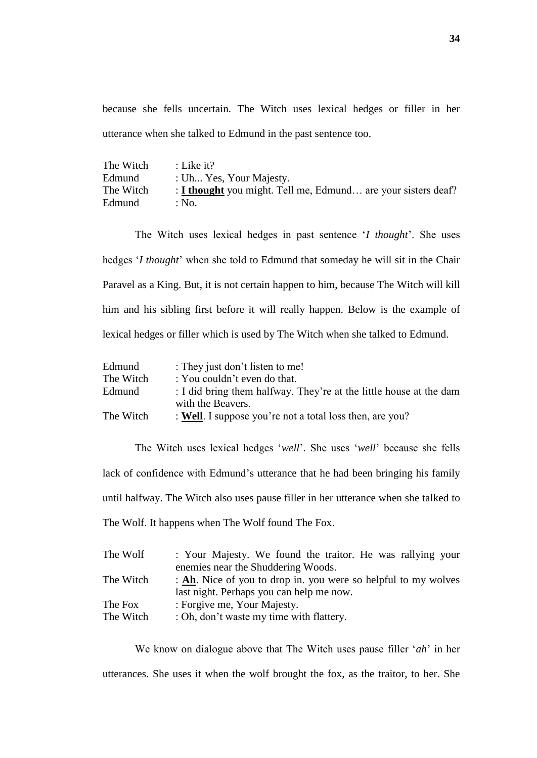because she fells uncertain. The Witch uses lexical hedges or filler in her utterance when she talked to Edmund in the past sentence too.

| The Witch | : Like it?                                                    |
|-----------|---------------------------------------------------------------|
| Edmund    | : Uh Yes, Your Majesty.                                       |
| The Witch | : I thought you might. Tell me, Edmund are your sisters deaf? |
| Edmund    | : No.                                                         |

The Witch uses lexical hedges in past sentence "*I thought*". She uses hedges "*I thought*" when she told to Edmund that someday he will sit in the Chair Paravel as a King. But, it is not certain happen to him, because The Witch will kill him and his sibling first before it will really happen. Below is the example of lexical hedges or filler which is used by The Witch when she talked to Edmund.

| Edmund    | : They just don't listen to me!                                    |
|-----------|--------------------------------------------------------------------|
| The Witch | : You couldn't even do that.                                       |
| Edmund    | : I did bring them halfway. They're at the little house at the dam |
|           | with the Beavers.                                                  |
| The Witch | : Well. I suppose you're not a total loss then, are you?           |

The Witch uses lexical hedges "*well*". She uses "*well*" because she fells lack of confidence with Edmund"s utterance that he had been bringing his family until halfway. The Witch also uses pause filler in her utterance when she talked to The Wolf. It happens when The Wolf found The Fox.

| The Wolf  | : Your Majesty. We found the traitor. He was rallying your     |
|-----------|----------------------------------------------------------------|
|           | enemies near the Shuddering Woods.                             |
| The Witch | : Ah. Nice of you to drop in. you were so helpful to my wolves |
|           | last night. Perhaps you can help me now.                       |
| The Fox   | : Forgive me, Your Majesty.                                    |
| The Witch | : Oh, don't waste my time with flattery.                       |

We know on dialogue above that The Witch uses pause filler "*ah*" in her utterances. She uses it when the wolf brought the fox, as the traitor, to her. She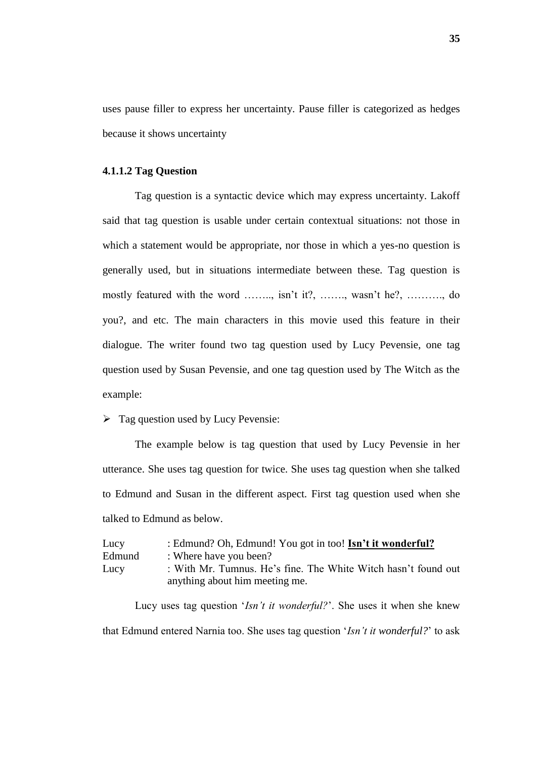uses pause filler to express her uncertainty. Pause filler is categorized as hedges because it shows uncertainty

#### **4.1.1.2 Tag Question**

Tag question is a syntactic device which may express uncertainty. Lakoff said that tag question is usable under certain contextual situations: not those in which a statement would be appropriate, nor those in which a yes-no question is generally used, but in situations intermediate between these. Tag question is mostly featured with the word …….., isn't it?, ……., wasn't he?, ……..., do you?, and etc. The main characters in this movie used this feature in their dialogue. The writer found two tag question used by Lucy Pevensie, one tag question used by Susan Pevensie, and one tag question used by The Witch as the example:

 $\triangleright$  Tag question used by Lucy Pevensie:

The example below is tag question that used by Lucy Pevensie in her utterance. She uses tag question for twice. She uses tag question when she talked to Edmund and Susan in the different aspect. First tag question used when she talked to Edmund as below.

| Lucy   | : Edmund? Oh, Edmund! You got in too! Isn't it wonderful?                                        |
|--------|--------------------------------------------------------------------------------------------------|
| Edmund | : Where have you been?                                                                           |
| Lucy   | : With Mr. Tumnus. He's fine. The White Witch hasn't found out<br>anything about him meeting me. |

Lucy uses tag question "*Isn"t it wonderful?*". She uses it when she knew that Edmund entered Narnia too. She uses tag question "*Isn"t it wonderful?*" to ask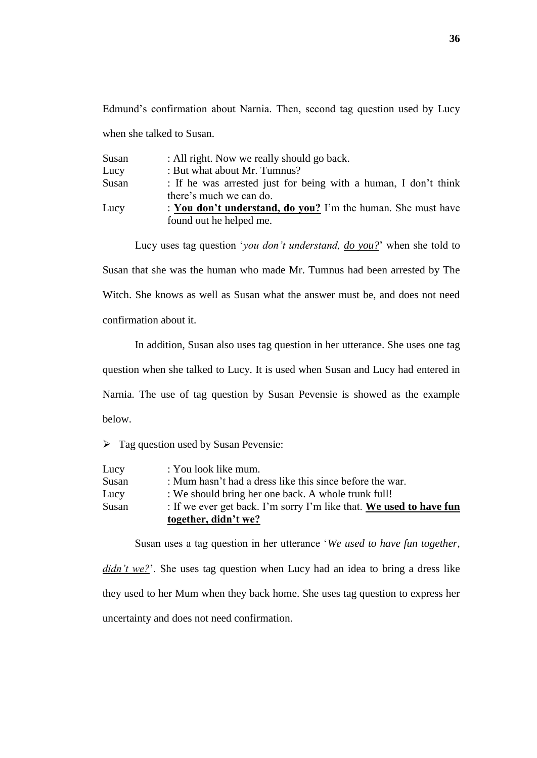Edmund"s confirmation about Narnia. Then, second tag question used by Lucy when she talked to Susan.

| Susan | : All right. Now we really should go back.                      |
|-------|-----------------------------------------------------------------|
| Lucy  | : But what about Mr. Tumnus?                                    |
| Susan | : If he was arrested just for being with a human, I don't think |
|       | there's much we can do.                                         |
| Lucy  | : You don't understand, do you? I'm the human. She must have    |
|       | found out he helped me.                                         |

Lucy uses tag question "*you don"t understand, do you?*" when she told to

Susan that she was the human who made Mr. Tumnus had been arrested by The Witch. She knows as well as Susan what the answer must be, and does not need confirmation about it.

In addition, Susan also uses tag question in her utterance. She uses one tag

question when she talked to Lucy. It is used when Susan and Lucy had entered in

Narnia. The use of tag question by Susan Pevensie is showed as the example below.

 $\triangleright$  Tag question used by Susan Pevensie:

|       | together, didn't we?                                                |
|-------|---------------------------------------------------------------------|
| Susan | : If we ever get back. I'm sorry I'm like that. We used to have fun |
| Lucy  | : We should bring her one back. A whole trunk full!                 |
| Susan | : Mum hasn't had a dress like this since before the war.            |
| Lucy  | : You look like mum.                                                |

Susan uses a tag question in her utterance "*We used to have fun together,* 

*didn't we?*'. She uses tag question when Lucy had an idea to bring a dress like they used to her Mum when they back home. She uses tag question to express her uncertainty and does not need confirmation.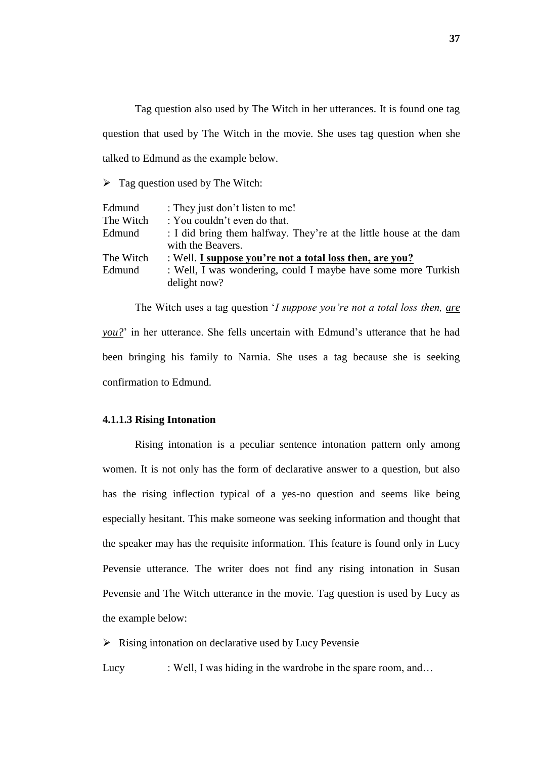Tag question also used by The Witch in her utterances. It is found one tag question that used by The Witch in the movie. She uses tag question when she talked to Edmund as the example below.

 $\triangleright$  Tag question used by The Witch:

| Edmund    | : They just don't listen to me!                                    |
|-----------|--------------------------------------------------------------------|
| The Witch | : You couldn't even do that.                                       |
| Edmund    | : I did bring them halfway. They're at the little house at the dam |
|           | with the Beavers.                                                  |
| The Witch | : Well. I suppose you're not a total loss then, are you?           |
| Edmund    | : Well, I was wondering, could I maybe have some more Turkish      |
|           | delight now?                                                       |

The Witch uses a tag question "*I suppose you"re not a total loss then, are you?*" in her utterance. She fells uncertain with Edmund's utterance that he had been bringing his family to Narnia. She uses a tag because she is seeking confirmation to Edmund.

# **4.1.1.3 Rising Intonation**

Rising intonation is a peculiar sentence intonation pattern only among women. It is not only has the form of declarative answer to a question, but also has the rising inflection typical of a yes-no question and seems like being especially hesitant. This make someone was seeking information and thought that the speaker may has the requisite information. This feature is found only in Lucy Pevensie utterance. The writer does not find any rising intonation in Susan Pevensie and The Witch utterance in the movie. Tag question is used by Lucy as the example below:

 $\triangleright$  Rising intonation on declarative used by Lucy Pevensie

Lucy : Well, I was hiding in the wardrobe in the spare room, and...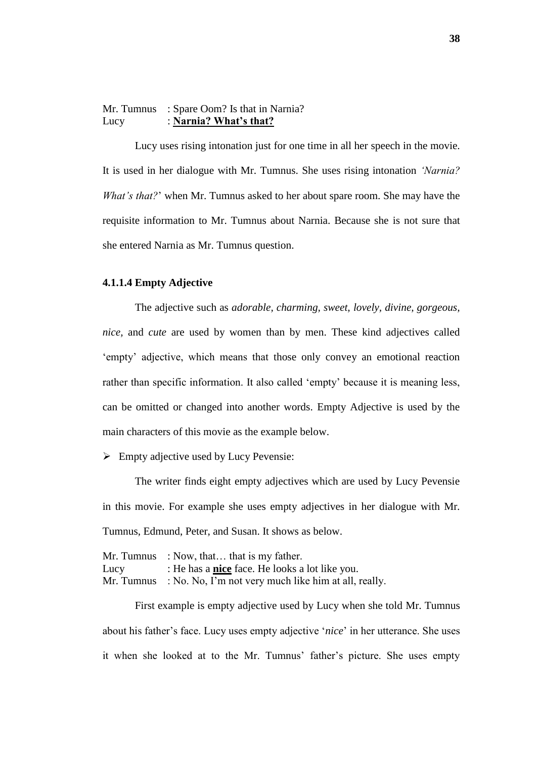# Mr. Tumnus : Spare Oom? Is that in Narnia? Lucy : **Narnia? What's that?**

Lucy uses rising intonation just for one time in all her speech in the movie. It is used in her dialogue with Mr. Tumnus. She uses rising intonation *"Narnia? What"s that?*" when Mr. Tumnus asked to her about spare room. She may have the requisite information to Mr. Tumnus about Narnia. Because she is not sure that she entered Narnia as Mr. Tumnus question.

## **4.1.1.4 Empty Adjective**

The adjective such as *adorable, charming, sweet, lovely, divine, gorgeous, nice,* and *cute* are used by women than by men. These kind adjectives called 'empty' adjective, which means that those only convey an emotional reaction rather than specific information. It also called 'empty' because it is meaning less, can be omitted or changed into another words. Empty Adjective is used by the main characters of this movie as the example below.

 $\triangleright$  Empty adjective used by Lucy Pevensie:

The writer finds eight empty adjectives which are used by Lucy Pevensie in this movie. For example she uses empty adjectives in her dialogue with Mr. Tumnus, Edmund, Peter, and Susan. It shows as below.

|            | Mr. Tumnus : Now, that $\dots$ that is my father.     |
|------------|-------------------------------------------------------|
| Lucy       | : He has a <b>nice</b> face. He looks a lot like you. |
| Mr. Tumnus | : No. No, I'm not very much like him at all, really.  |

First example is empty adjective used by Lucy when she told Mr. Tumnus about his father"s face. Lucy uses empty adjective "*nice*" in her utterance. She uses it when she looked at to the Mr. Tumnus' father's picture. She uses empty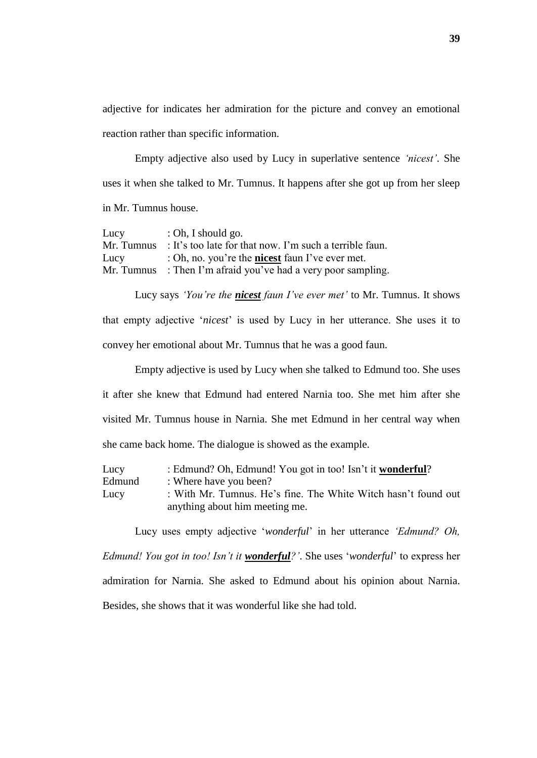adjective for indicates her admiration for the picture and convey an emotional reaction rather than specific information.

Empty adjective also used by Lucy in superlative sentence *"nicest"*. She uses it when she talked to Mr. Tumnus. It happens after she got up from her sleep in Mr. Tumnus house.

| Lucy       | : Oh, I should go.                                      |
|------------|---------------------------------------------------------|
| Mr. Tumnus | : It's too late for that now. I'm such a terrible faun. |
| Lucy       | : Oh, no. you're the <b>nicest</b> faun I've ever met.  |
| Mr. Tumnus | : Then I'm afraid you've had a very poor sampling.      |

Lucy says *"You"re the nicest faun I"ve ever met"* to Mr. Tumnus. It shows that empty adjective "*nicest*" is used by Lucy in her utterance. She uses it to convey her emotional about Mr. Tumnus that he was a good faun.

Empty adjective is used by Lucy when she talked to Edmund too. She uses it after she knew that Edmund had entered Narnia too. She met him after she visited Mr. Tumnus house in Narnia. She met Edmund in her central way when she came back home. The dialogue is showed as the example.

| Lucy   | : Edmund? Oh, Edmund! You got in too! Isn't it wonderful?      |
|--------|----------------------------------------------------------------|
| Edmund | : Where have you been?                                         |
| Lucy   | : With Mr. Tumnus. He's fine. The White Witch hasn't found out |
|        | anything about him meeting me.                                 |

Lucy uses empty adjective "*wonderful*" in her utterance *"Edmund? Oh, Edmund! You got in too! Isn"t it wonderful?"*. She uses "*wonderful*" to express her admiration for Narnia. She asked to Edmund about his opinion about Narnia. Besides, she shows that it was wonderful like she had told.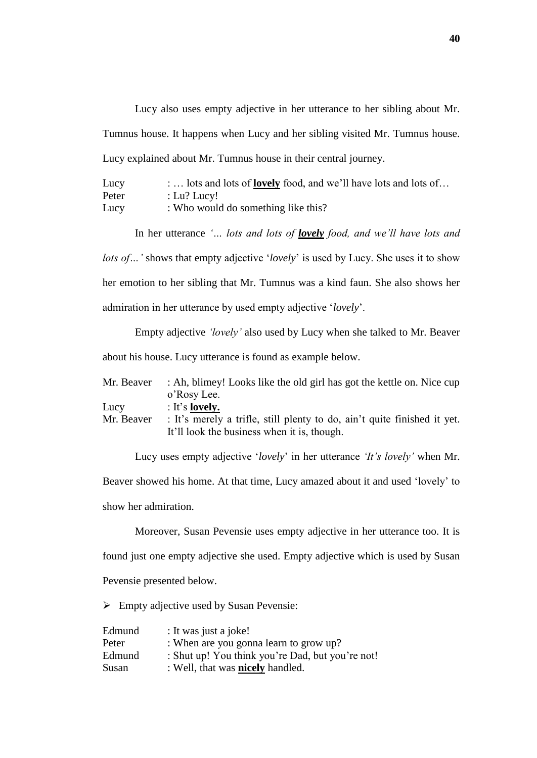Lucy also uses empty adjective in her utterance to her sibling about Mr. Tumnus house. It happens when Lucy and her sibling visited Mr. Tumnus house. Lucy explained about Mr. Tumnus house in their central journey.

| Lucy  | : lots and lots of <b>lovely</b> food, and we'll have lots and lots of |
|-------|------------------------------------------------------------------------|
| Peter | : Lu? Lucy!                                                            |
| Lucy  | : Who would do something like this?                                    |

In her utterance *"… lots and lots of lovely food, and we"ll have lots and lots of...* ' shows that empty adjective '*lovely*' is used by Lucy. She uses it to show her emotion to her sibling that Mr. Tumnus was a kind faun. She also shows her admiration in her utterance by used empty adjective "*lovely*".

Empty adjective *"lovely"* also used by Lucy when she talked to Mr. Beaver about his house. Lucy utterance is found as example below.

| Mr. Beaver | : Ah, blimey! Looks like the old girl has got the kettle on. Nice cup    |
|------------|--------------------------------------------------------------------------|
|            | o'Rosy Lee.                                                              |
| Lucy       | $:$ It's lovely.                                                         |
| Mr. Beaver | : It's merely a trifle, still plenty to do, ain't quite finished it yet. |
|            | It'll look the business when it is, though.                              |

Lucy uses empty adjective "*lovely*" in her utterance *"It"s lovely"* when Mr.

Beaver showed his home. At that time, Lucy amazed about it and used "lovely" to show her admiration.

Moreover, Susan Pevensie uses empty adjective in her utterance too. It is found just one empty adjective she used. Empty adjective which is used by Susan Pevensie presented below.

 $\triangleright$  Empty adjective used by Susan Pevensie:

| Edmund | : It was just a joke!                            |
|--------|--------------------------------------------------|
| Peter  | : When are you gonna learn to grow up?           |
| Edmund | : Shut up! You think you're Dad, but you're not! |
| Susan  | : Well, that was <b>nicely</b> handled.          |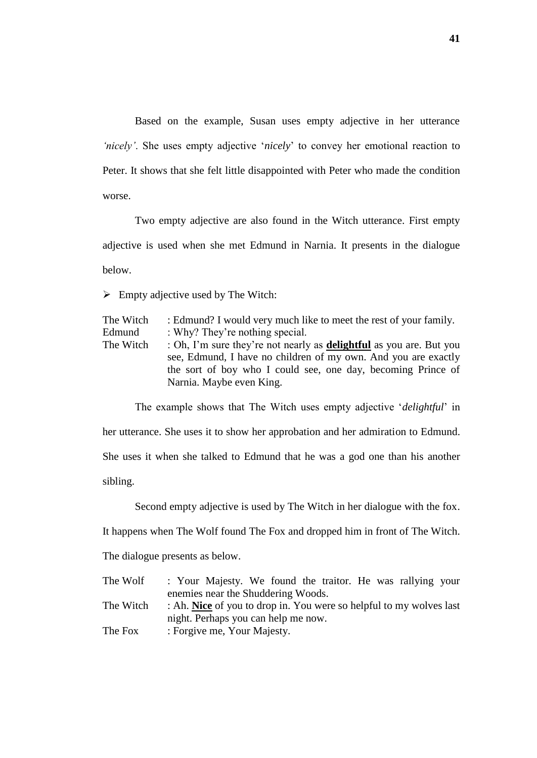Based on the example, Susan uses empty adjective in her utterance *'nicely'*. She uses empty adjective *'nicely'* to convey her emotional reaction to Peter. It shows that she felt little disappointed with Peter who made the condition worse.

Two empty adjective are also found in the Witch utterance. First empty adjective is used when she met Edmund in Narnia. It presents in the dialogue below.

 $\triangleright$  Empty adjective used by The Witch:

| The Witch | : Edmund? I would very much like to meet the rest of your family.                                                                                                                                                                        |
|-----------|------------------------------------------------------------------------------------------------------------------------------------------------------------------------------------------------------------------------------------------|
| Edmund    | : Why? They're nothing special.                                                                                                                                                                                                          |
| The Witch | : Oh, I'm sure they're not nearly as <b>delightful</b> as you are. But you<br>see, Edmund, I have no children of my own. And you are exactly<br>the sort of boy who I could see, one day, becoming Prince of<br>Narnia. Maybe even King. |
|           |                                                                                                                                                                                                                                          |

The example shows that The Witch uses empty adjective "*delightful*" in

her utterance. She uses it to show her approbation and her admiration to Edmund.

She uses it when she talked to Edmund that he was a god one than his another

sibling.

Second empty adjective is used by The Witch in her dialogue with the fox.

It happens when The Wolf found The Fox and dropped him in front of The Witch.

The dialogue presents as below.

| The Wolf  | : Your Majesty. We found the traitor. He was rallying your          |
|-----------|---------------------------------------------------------------------|
|           | enemies near the Shuddering Woods.                                  |
| The Witch | : Ah. Nice of you to drop in. You were so helpful to my wolves last |
|           | night. Perhaps you can help me now.                                 |
| The Fox   | : Forgive me, Your Majesty.                                         |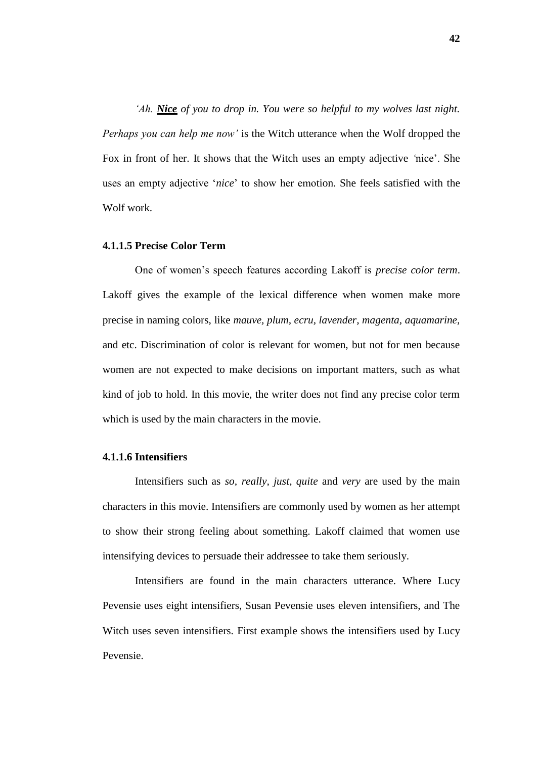*"Ah. Nice of you to drop in. You were so helpful to my wolves last night. Perhaps you can help me now"* is the Witch utterance when the Wolf dropped the Fox in front of her. It shows that the Witch uses an empty adjective *"*nice". She uses an empty adjective "*nice*" to show her emotion. She feels satisfied with the Wolf work.

### **4.1.1.5 Precise Color Term**

One of women"s speech features according Lakoff is *precise color term*. Lakoff gives the example of the lexical difference when women make more precise in naming colors, like *mauve, plum, ecru, lavender, magenta, aquamarine,* and etc. Discrimination of color is relevant for women, but not for men because women are not expected to make decisions on important matters, such as what kind of job to hold. In this movie, the writer does not find any precise color term which is used by the main characters in the movie.

#### **4.1.1.6 Intensifiers**

Intensifiers such as *so, really, just, quite* and *very* are used by the main characters in this movie. Intensifiers are commonly used by women as her attempt to show their strong feeling about something. Lakoff claimed that women use intensifying devices to persuade their addressee to take them seriously.

Intensifiers are found in the main characters utterance. Where Lucy Pevensie uses eight intensifiers, Susan Pevensie uses eleven intensifiers, and The Witch uses seven intensifiers. First example shows the intensifiers used by Lucy Pevensie.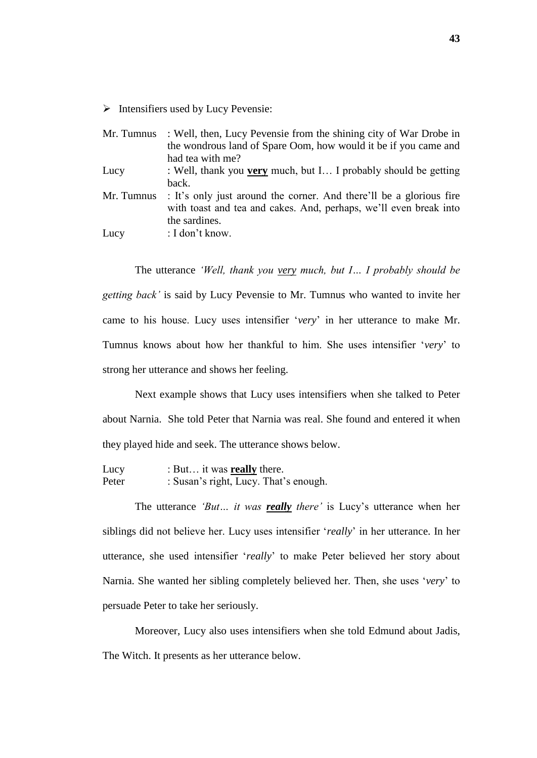$\triangleright$  Intensifiers used by Lucy Pevensie:

| Mr. Tumnus | : Well, then, Lucy Pevensie from the shining city of War Drobe in   |
|------------|---------------------------------------------------------------------|
|            | the wondrous land of Spare Oom, how would it be if you came and     |
|            | had tea with me?                                                    |
| Lucy       | : Well, thank you very much, but I I probably should be getting     |
|            | back.                                                               |
| Mr. Tumnus | : It's only just around the corner. And there'll be a glorious fire |
|            | with toast and tea and cakes. And, perhaps, we'll even break into   |
|            | the sardines.                                                       |
| Lucy       | : I don't know.                                                     |

The utterance *"Well, thank you very much, but I… I probably should be getting back"* is said by Lucy Pevensie to Mr. Tumnus who wanted to invite her came to his house. Lucy uses intensifier "*very*" in her utterance to make Mr. Tumnus knows about how her thankful to him. She uses intensifier "*very*" to strong her utterance and shows her feeling.

Next example shows that Lucy uses intensifiers when she talked to Peter about Narnia. She told Peter that Narnia was real. She found and entered it when they played hide and seek. The utterance shows below.

| Lucy  | : But it was <b>really</b> there.     |
|-------|---------------------------------------|
| Peter | : Susan's right, Lucy. That's enough. |

The utterance *'But... it was <u>really</u> there'* is Lucy's utterance when her siblings did not believe her. Lucy uses intensifier "*really*" in her utterance. In her utterance, she used intensifier "*really*" to make Peter believed her story about Narnia. She wanted her sibling completely believed her. Then, she uses "*very*" to persuade Peter to take her seriously.

Moreover, Lucy also uses intensifiers when she told Edmund about Jadis, The Witch. It presents as her utterance below.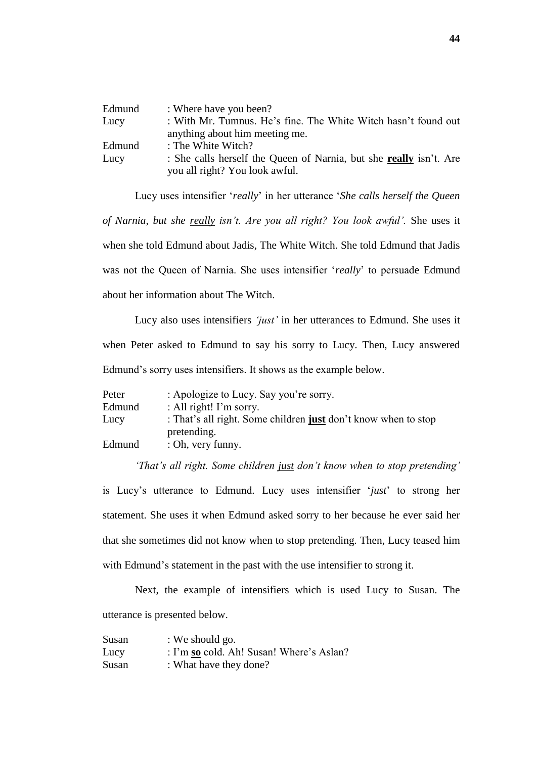| Edmund | : Where have you been?                                                                                      |
|--------|-------------------------------------------------------------------------------------------------------------|
| Lucy   | : With Mr. Tumnus. He's fine. The White Witch hasn't found out                                              |
|        | anything about him meeting me.                                                                              |
| Edmund | : The White Witch?                                                                                          |
| Lucy   | : She calls herself the Queen of Narnia, but she <b>really</b> isn't. Are<br>you all right? You look awful. |
|        |                                                                                                             |

Lucy uses intensifier "*really*" in her utterance "*She calls herself the Queen of Narnia, but she really isn"t. Are you all right? You look awful".* She uses it when she told Edmund about Jadis, The White Witch. She told Edmund that Jadis was not the Queen of Narnia. She uses intensifier "*really*" to persuade Edmund about her information about The Witch.

Lucy also uses intensifiers *"just"* in her utterances to Edmund. She uses it when Peter asked to Edmund to say his sorry to Lucy. Then, Lucy answered Edmund"s sorry uses intensifiers. It shows as the example below.

| Peter  | : Apologize to Lucy. Say you're sorry.                         |
|--------|----------------------------------------------------------------|
| Edmund | : All right! I'm sorry.                                        |
| Lucy   | : That's all right. Some children just don't know when to stop |
|        | pretending.                                                    |
| Edmund | : Oh, very funny.                                              |

*"That"s all right. Some children just don"t know when to stop pretending"*

is Lucy"s utterance to Edmund*.* Lucy uses intensifier "*just*" to strong her statement. She uses it when Edmund asked sorry to her because he ever said her that she sometimes did not know when to stop pretending. Then, Lucy teased him with Edmund's statement in the past with the use intensifier to strong it.

Next, the example of intensifiers which is used Lucy to Susan. The utterance is presented below.

| Susan | : We should go.                          |
|-------|------------------------------------------|
| Lucy  | : I'm so cold. Ah! Susan! Where's Aslan? |
| Susan | : What have they done?                   |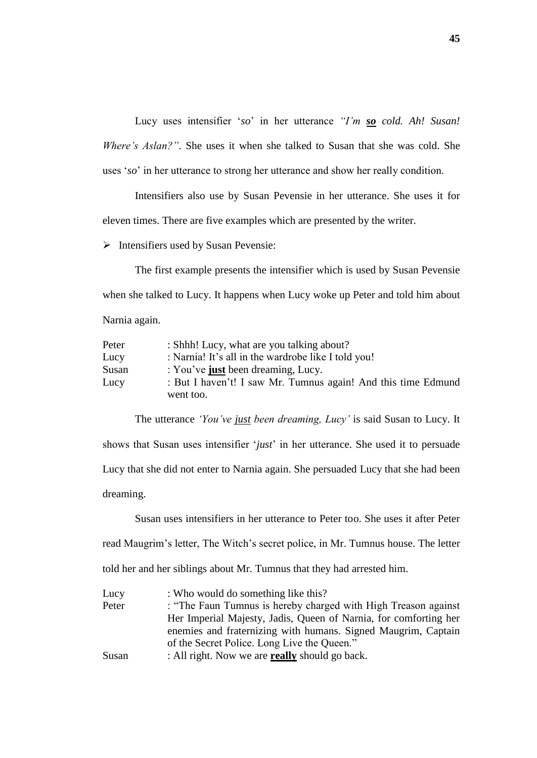Lucy uses intensifier "*so*" in her utterance *"I"m so cold. Ah! Susan! Where"s Aslan?"*. She uses it when she talked to Susan that she was cold. She uses "*so*" in her utterance to strong her utterance and show her really condition.

Intensifiers also use by Susan Pevensie in her utterance. She uses it for eleven times. There are five examples which are presented by the writer.

 $\triangleright$  Intensifiers used by Susan Pevensie:

The first example presents the intensifier which is used by Susan Pevensie when she talked to Lucy. It happens when Lucy woke up Peter and told him about Narnia again.

| Peter | : Shhh! Lucy, what are you talking about?                     |
|-------|---------------------------------------------------------------|
| Lucy  | : Narnia! It's all in the wardrobe like I told you!           |
| Susan | : You've just been dreaming, Lucy.                            |
| Lucy  | : But I haven't! I saw Mr. Tumnus again! And this time Edmund |
|       | went too.                                                     |

The utterance *"You"ve just been dreaming, Lucy"* is said Susan to Lucy. It shows that Susan uses intensifier "*just*" in her utterance. She used it to persuade Lucy that she did not enter to Narnia again. She persuaded Lucy that she had been dreaming.

Susan uses intensifiers in her utterance to Peter too. She uses it after Peter read Maugrim's letter, The Witch's secret police, in Mr. Tumnus house. The letter told her and her siblings about Mr. Tumnus that they had arrested him.

| Lucy  | : Who would do something like this?                              |
|-------|------------------------------------------------------------------|
| Peter | : "The Faun Tumnus is hereby charged with High Treason against   |
|       | Her Imperial Majesty, Jadis, Queen of Narnia, for comforting her |
|       | enemies and fraternizing with humans. Signed Maugrim, Captain    |
|       | of the Secret Police. Long Live the Queen."                      |
| Susan | : All right. Now we are <b>really</b> should go back.            |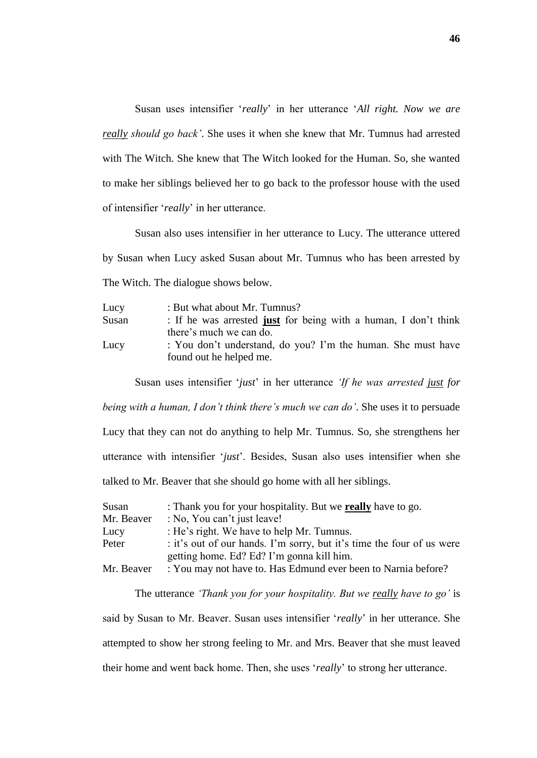Susan uses intensifier "*really*" in her utterance "*All right. Now we are really should go back"*. She uses it when she knew that Mr. Tumnus had arrested with The Witch. She knew that The Witch looked for the Human. So, she wanted to make her siblings believed her to go back to the professor house with the used of intensifier "*really*" in her utterance.

Susan also uses intensifier in her utterance to Lucy. The utterance uttered by Susan when Lucy asked Susan about Mr. Tumnus who has been arrested by The Witch. The dialogue shows below.

| Lucy  | : But what about Mr. Tumnus?                                                            |  |  |
|-------|-----------------------------------------------------------------------------------------|--|--|
| Susan | : If he was arrested just for being with a human, I don't think                         |  |  |
|       | there's much we can do.                                                                 |  |  |
| Lucy  | : You don't understand, do you? I'm the human. She must have<br>found out he helped me. |  |  |

Susan uses intensifier "*just*" in her utterance *"If he was arrested just for* 

*being with a human, I don"t think there"s much we can do"*. She uses it to persuade

Lucy that they can not do anything to help Mr. Tumnus. So, she strengthens her utterance with intensifier "*just*". Besides, Susan also uses intensifier when she talked to Mr. Beaver that she should go home with all her siblings.

| Susan      | : Thank you for your hospitality. But we really have to go.           |  |
|------------|-----------------------------------------------------------------------|--|
| Mr. Beaver | : No, You can't just leave!                                           |  |
| Lucy       | : He's right. We have to help Mr. Tumnus.                             |  |
| Peter      | : it's out of our hands. I'm sorry, but it's time the four of us were |  |
|            | getting home. Ed? Ed? I'm gonna kill him.                             |  |
| Mr. Beaver | : You may not have to. Has Edmund ever been to Narnia before?         |  |

The utterance *"Thank you for your hospitality. But we really have to go"* is said by Susan to Mr. Beaver. Susan uses intensifier "*really*" in her utterance. She attempted to show her strong feeling to Mr. and Mrs. Beaver that she must leaved their home and went back home. Then, she uses "*really*" to strong her utterance.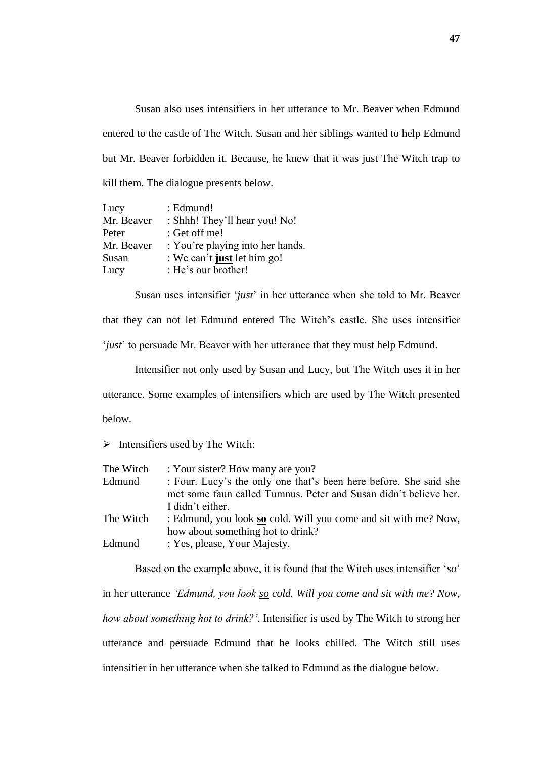Susan also uses intensifiers in her utterance to Mr. Beaver when Edmund entered to the castle of The Witch. Susan and her siblings wanted to help Edmund but Mr. Beaver forbidden it. Because, he knew that it was just The Witch trap to kill them. The dialogue presents below.

| Lucy       | : Edmund!                        |
|------------|----------------------------------|
| Mr. Beaver | : Shhh! They'll hear you! No!    |
| Peter      | : Get off me!                    |
| Mr. Beaver | : You're playing into her hands. |
| Susan      | : We can't just let him go!      |
| Lucy       | : He's our brother!              |

Susan uses intensifier "*just*" in her utterance when she told to Mr. Beaver that they can not let Edmund entered The Witch"s castle. She uses intensifier '*just*' to persuade Mr. Beaver with her utterance that they must help Edmund.

Intensifier not only used by Susan and Lucy, but The Witch uses it in her utterance. Some examples of intensifiers which are used by The Witch presented below.

 $\triangleright$  Intensifiers used by The Witch:

| : Your sister? How many are you?                                  |
|-------------------------------------------------------------------|
| : Four. Lucy's the only one that's been here before. She said she |
| met some faun called Tumnus. Peter and Susan didn't believe her.  |
| I didn't either.                                                  |
| : Edmund, you look so cold. Will you come and sit with me? Now,   |
| how about something hot to drink?                                 |
| : Yes, please, Your Majesty.                                      |
|                                                                   |

Based on the example above, it is found that the Witch uses intensifier "*so*" in her utterance *"Edmund, you look so cold. Will you come and sit with me? Now, how about something hot to drink?"*. Intensifier is used by The Witch to strong her utterance and persuade Edmund that he looks chilled. The Witch still uses intensifier in her utterance when she talked to Edmund as the dialogue below.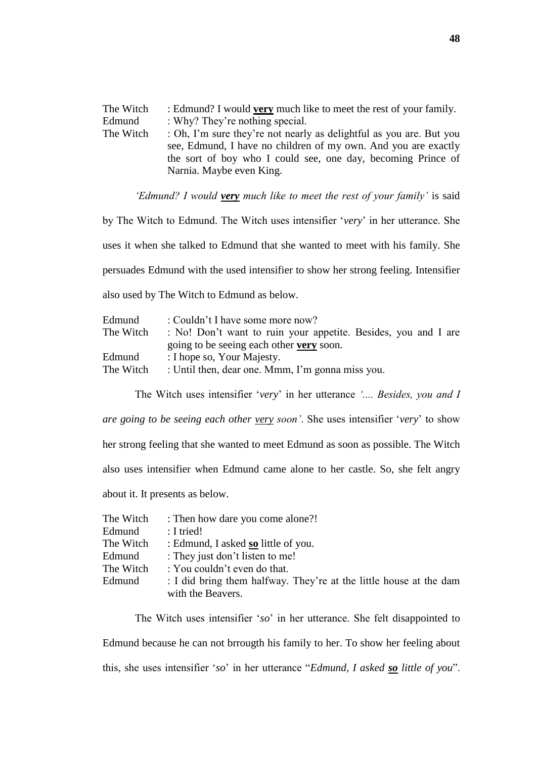The Witch : Edmund? I would **very** much like to meet the rest of your family. Edmund : Why? They're nothing special.<br>The Witch : Oh. I'm sure they're not nearly : Oh, I'm sure they're not nearly as delightful as you are. But you see, Edmund, I have no children of my own. And you are exactly the sort of boy who I could see, one day, becoming Prince of Narnia. Maybe even King.

*"Edmund? I would very much like to meet the rest of your family"* is said

by The Witch to Edmund. The Witch uses intensifier "*very*" in her utterance. She uses it when she talked to Edmund that she wanted to meet with his family. She persuades Edmund with the used intensifier to show her strong feeling. Intensifier also used by The Witch to Edmund as below.

| : Couldn't I have some more now?                                            |  |  |
|-----------------------------------------------------------------------------|--|--|
| The Witch<br>: No! Don't want to ruin your appetite. Besides, you and I are |  |  |
| going to be seeing each other very soon.                                    |  |  |
| : I hope so, Your Majesty.                                                  |  |  |
| : Until then, dear one. Mmm, I'm gonna miss you.<br>The Witch               |  |  |
|                                                                             |  |  |

The Witch uses intensifier "*very*" in her utterance *".... Besides, you and I are going to be seeing each other very soon"*. She uses intensifier "*very*" to show her strong feeling that she wanted to meet Edmund as soon as possible. The Witch also uses intensifier when Edmund came alone to her castle. So, she felt angry about it. It presents as below.

| The Witch | : Then how dare you come alone?!                                   |
|-----------|--------------------------------------------------------------------|
| Edmund    | $: I$ tried!                                                       |
| The Witch | : Edmund, I asked so little of you.                                |
| Edmund    | : They just don't listen to me!                                    |
| The Witch | : You couldn't even do that.                                       |
| Edmund    | : I did bring them halfway. They're at the little house at the dam |
|           | with the Beavers.                                                  |

The Witch uses intensifier "*so*" in her utterance. She felt disappointed to Edmund because he can not brrougth his family to her. To show her feeling about this, she uses intensifier "*so*" in her utterance "*Edmund, I asked so little of you*".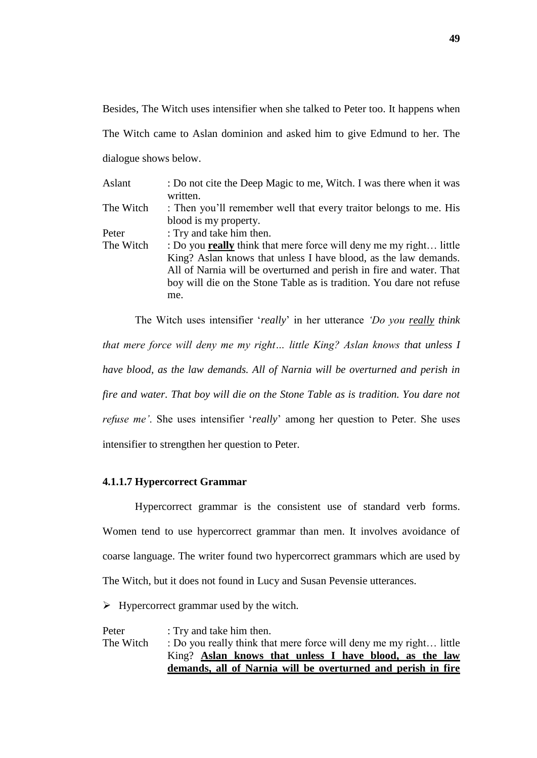Besides, The Witch uses intensifier when she talked to Peter too. It happens when The Witch came to Aslan dominion and asked him to give Edmund to her. The

dialogue shows below.

| Aslant    | : Do not cite the Deep Magic to me, Witch. I was there when it was        |
|-----------|---------------------------------------------------------------------------|
|           | written.                                                                  |
| The Witch | : Then you'll remember well that every traitor belongs to me. His         |
|           | blood is my property.                                                     |
| Peter     | : Try and take him then.                                                  |
| The Witch | : Do you <b>really</b> think that mere force will deny me my right little |
|           | King? Aslan knows that unless I have blood, as the law demands.           |
|           | All of Narnia will be overturned and perish in fire and water. That       |
|           | boy will die on the Stone Table as is tradition. You dare not refuse      |
|           | me.                                                                       |

The Witch uses intensifier "*really*" in her utterance *"Do you really think that mere force will deny me my right… little King? Aslan knows that unless I have blood, as the law demands. All of Narnia will be overturned and perish in fire and water. That boy will die on the Stone Table as is tradition. You dare not refuse me'*. She uses intensifier *'really'* among her question to Peter. She uses intensifier to strengthen her question to Peter.

# **4.1.1.7 Hypercorrect Grammar**

Hypercorrect grammar is the consistent use of standard verb forms. Women tend to use hypercorrect grammar than men. It involves avoidance of coarse language. The writer found two hypercorrect grammars which are used by The Witch, but it does not found in Lucy and Susan Pevensie utterances.

 $\triangleright$  Hypercorrect grammar used by the witch.

Peter : Try and take him then. The Witch : Do you really think that mere force will deny me my right... little King? **Aslan knows that unless I have blood, as the law demands, all of Narnia will be overturned and perish in fire**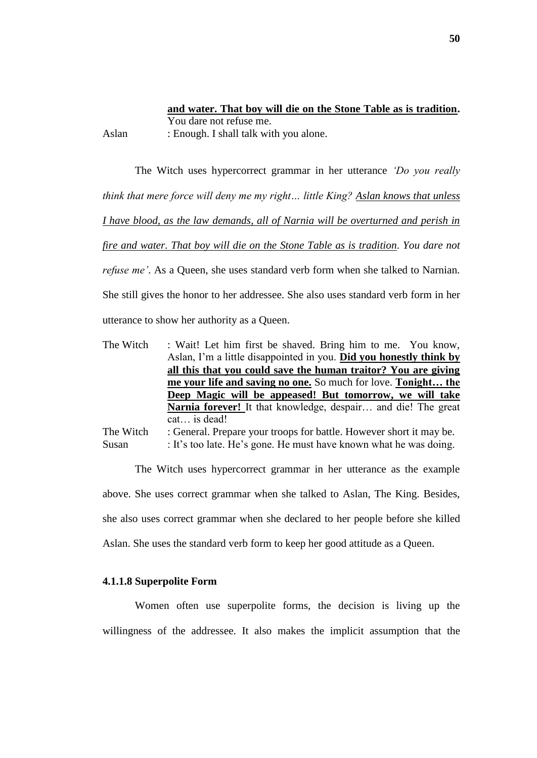**and water. That boy will die on the Stone Table as is tradition.** You dare not refuse me. Aslan : Enough. I shall talk with you alone.

The Witch uses hypercorrect grammar in her utterance *"Do you really think that mere force will deny me my right… little King? Aslan knows that unless I have blood, as the law demands, all of Narnia will be overturned and perish in fire and water. That boy will die on the Stone Table as is tradition. You dare not refuse me'*. As a Queen, she uses standard verb form when she talked to Narnian. She still gives the honor to her addressee. She also uses standard verb form in her utterance to show her authority as a Queen.

The Witch : Wait! Let him first be shaved. Bring him to me. You know, Aslan, I"m a little disappointed in you. **Did you honestly think by all this that you could save the human traitor? You are giving me your life and saving no one.** So much for love. **Tonight… the Deep Magic will be appeased! But tomorrow, we will take Narnia forever!** It that knowledge, despair… and die! The great cat… is dead! The Witch : General. Prepare your troops for battle. However short it may be.

Susan : It's too late. He's gone. He must have known what he was doing.

The Witch uses hypercorrect grammar in her utterance as the example above. She uses correct grammar when she talked to Aslan, The King. Besides, she also uses correct grammar when she declared to her people before she killed Aslan. She uses the standard verb form to keep her good attitude as a Queen.

## **4.1.1.8 Superpolite Form**

Women often use superpolite forms, the decision is living up the willingness of the addressee. It also makes the implicit assumption that the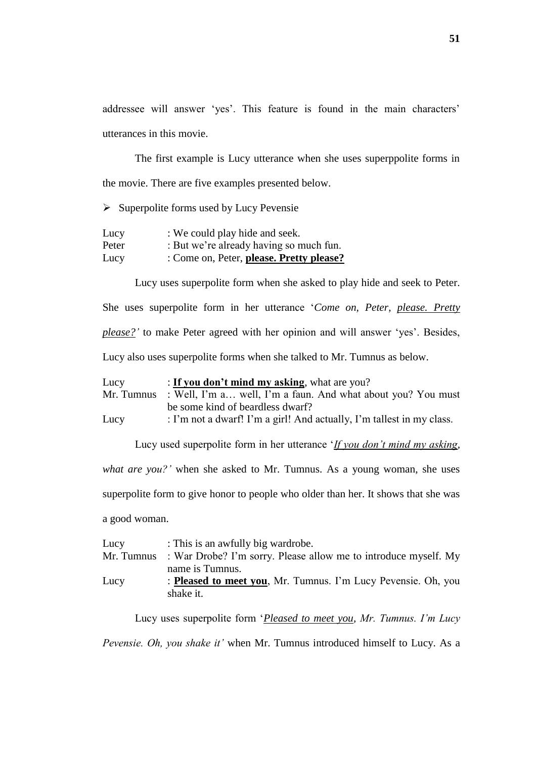addressee will answer 'yes'. This feature is found in the main characters' utterances in this movie.

The first example is Lucy utterance when she uses superppolite forms in the movie. There are five examples presented below.

 $\triangleright$  Superpolite forms used by Lucy Pevensie

| Lucy  | : We could play hide and seek.           |
|-------|------------------------------------------|
| Peter | : But we're already having so much fun.  |
| Lucy  | : Come on, Peter, please. Pretty please? |

Lucy uses superpolite form when she asked to play hide and seek to Peter. She uses superpolite form in her utterance "*Come on, Peter, please. Pretty please?"* to make Peter agreed with her opinion and will answer "yes". Besides, Lucy also uses superpolite forms when she talked to Mr. Tumnus as below.

Lucy : **If you don't mind my asking**, what are you? Mr. Tumnus : Well, I'm a... well, I'm a faun. And what about you? You must be some kind of beardless dwarf? Lucy : I'm not a dwarf! I'm a girl! And actually, I'm tallest in my class.

Lucy used superpolite form in her utterance "*If you don"t mind my asking, what are you?"* when she asked to Mr. Tumnus. As a young woman, she uses superpolite form to give honor to people who older than her. It shows that she was a good woman.

| Lucy       | : This is an awfully big wardrobe.                                    |  |
|------------|-----------------------------------------------------------------------|--|
| Mr. Tumnus | : War Drobe? I'm sorry. Please allow me to introduce myself. My       |  |
|            | name is Tumnus.                                                       |  |
| Lucy       | : <b>Pleased to meet you</b> , Mr. Tumnus. I'm Lucy Pevensie. Oh, you |  |
|            | shake it.                                                             |  |

Lucy uses superpolite form "*Pleased to meet you, Mr. Tumnus. I"m Lucy* 

*Pevensie. Oh, you shake it"* when Mr. Tumnus introduced himself to Lucy. As a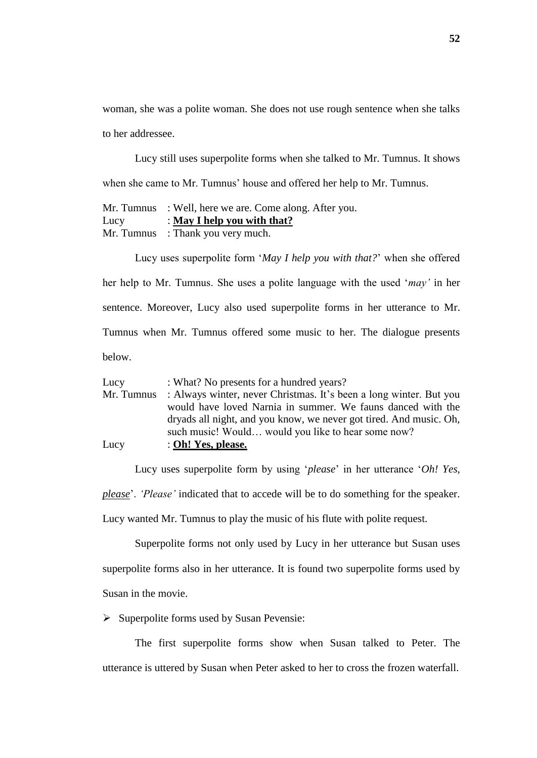woman, she was a polite woman. She does not use rough sentence when she talks to her addressee.

Lucy still uses superpolite forms when she talked to Mr. Tumnus. It shows when she came to Mr. Tumnus' house and offered her help to Mr. Tumnus.

Mr. Tumnus : Well, here we are. Come along. After you. Lucy : **May I help you with that?** Mr. Tumnus : Thank you very much.

Lucy uses superpolite form "*May I help you with that?*" when she offered her help to Mr. Tumnus. She uses a polite language with the used "*may"* in her sentence. Moreover, Lucy also used superpolite forms in her utterance to Mr. Tumnus when Mr. Tumnus offered some music to her. The dialogue presents below.

| Lucy       | : What? No presents for a hundred years?                           |
|------------|--------------------------------------------------------------------|
| Mr. Tumnus | : Always winter, never Christmas. It's been a long winter. But you |
|            | would have loved Narnia in summer. We fauns danced with the        |
|            | dryads all night, and you know, we never got tired. And music. Oh, |
|            | such music! Would would you like to hear some now?                 |
| Lucy       | : Oh! Yes, please.                                                 |

Lucy uses superpolite form by using '*please*' in her utterance '*Oh! Yes, please*". *"Please"* indicated that to accede will be to do something for the speaker. Lucy wanted Mr. Tumnus to play the music of his flute with polite request.

Superpolite forms not only used by Lucy in her utterance but Susan uses superpolite forms also in her utterance. It is found two superpolite forms used by Susan in the movie.

 $\triangleright$  Superpolite forms used by Susan Pevensie:

The first superpolite forms show when Susan talked to Peter. The utterance is uttered by Susan when Peter asked to her to cross the frozen waterfall.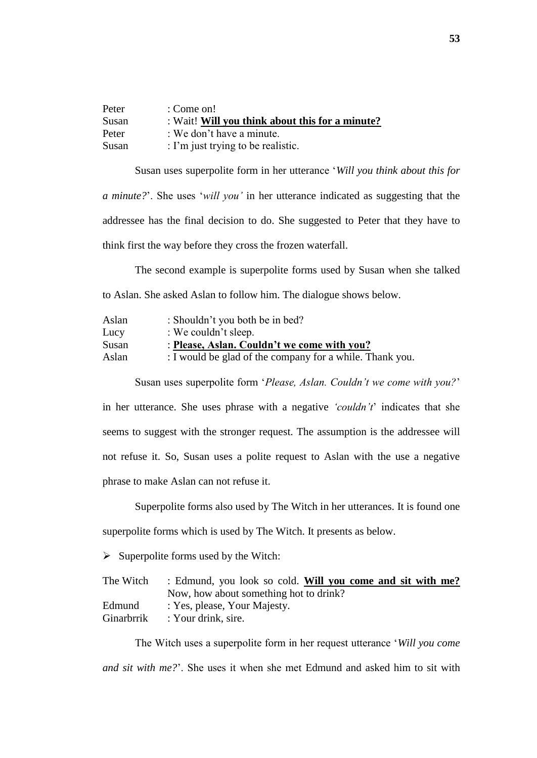| Peter | : Come on!                                      |
|-------|-------------------------------------------------|
| Susan | : Wait! Will you think about this for a minute? |
| Peter | : We don't have a minute.                       |
| Susan | : I'm just trying to be realistic.              |

Susan uses superpolite form in her utterance "*Will you think about this for a minute?*". She uses "*will you"* in her utterance indicated as suggesting that the addressee has the final decision to do. She suggested to Peter that they have to think first the way before they cross the frozen waterfall.

The second example is superpolite forms used by Susan when she talked to Aslan. She asked Aslan to follow him. The dialogue shows below.

| Aslan | : Shouldn't you both be in bed?                          |
|-------|----------------------------------------------------------|
| Lucy  | : We couldn't sleep.                                     |
| Susan | : Please, Aslan. Couldn't we come with you?              |
| Aslan | : I would be glad of the company for a while. Thank you. |

Susan uses superpolite form "*Please, Aslan. Couldn"t we come with you?*"

in her utterance. She uses phrase with a negative *"couldn"t*" indicates that she seems to suggest with the stronger request. The assumption is the addressee will not refuse it. So, Susan uses a polite request to Aslan with the use a negative phrase to make Aslan can not refuse it.

Superpolite forms also used by The Witch in her utterances. It is found one superpolite forms which is used by The Witch. It presents as below.

 $\triangleright$  Superpolite forms used by the Witch:

| : Edmund, you look so cold. Will you come and sit with me? |  |
|------------------------------------------------------------|--|
| Now, how about something hot to drink?                     |  |
| : Yes, please, Your Majesty.                               |  |
| : Your drink, sire.                                        |  |
|                                                            |  |

The Witch uses a superpolite form in her request utterance "*Will you come and sit with me?*". She uses it when she met Edmund and asked him to sit with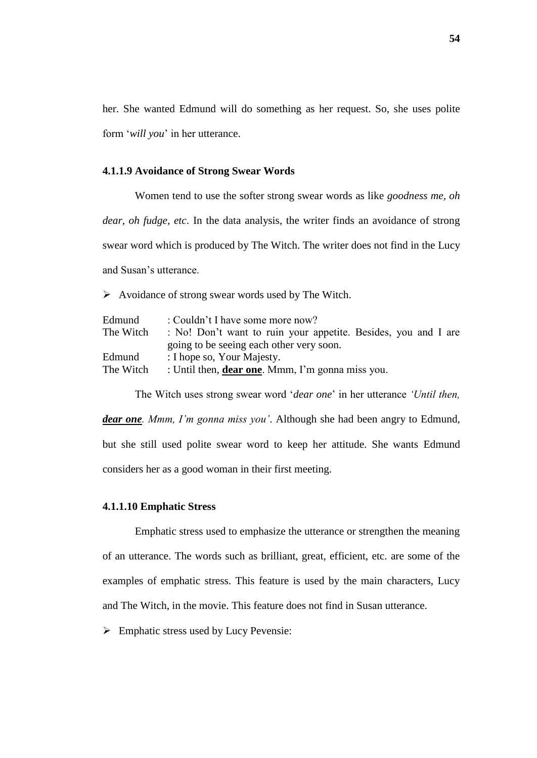her. She wanted Edmund will do something as her request. So, she uses polite form "*will you*" in her utterance.

#### **4.1.1.9 Avoidance of Strong Swear Words**

Women tend to use the softer strong swear words as like *goodness me, oh dear, oh fudge, etc*. In the data analysis, the writer finds an avoidance of strong swear word which is produced by The Witch. The writer does not find in the Lucy and Susan"s utterance.

 $\triangleright$  Avoidance of strong swear words used by The Witch.

| : Couldn't I have some more now?                                      |  |
|-----------------------------------------------------------------------|--|
| : No! Don't want to ruin your appetite. Besides, you and I are        |  |
| going to be seeing each other very soon.                              |  |
| : I hope so, Your Majesty.                                            |  |
| The Witch<br>: Until then, <b>dear one</b> . Mmm, I'm gonna miss you. |  |
|                                                                       |  |

The Witch uses strong swear word "*dear one*" in her utterance *"Until then,* 

*dear one. Mmm, I"m gonna miss you"*. Although she had been angry to Edmund, but she still used polite swear word to keep her attitude. She wants Edmund considers her as a good woman in their first meeting.

# **4.1.1.10 Emphatic Stress**

Emphatic stress used to emphasize the utterance or strengthen the meaning of an utterance. The words such as brilliant, great, efficient, etc. are some of the examples of emphatic stress. This feature is used by the main characters, Lucy and The Witch, in the movie. This feature does not find in Susan utterance.

 $\triangleright$  Emphatic stress used by Lucy Pevensie: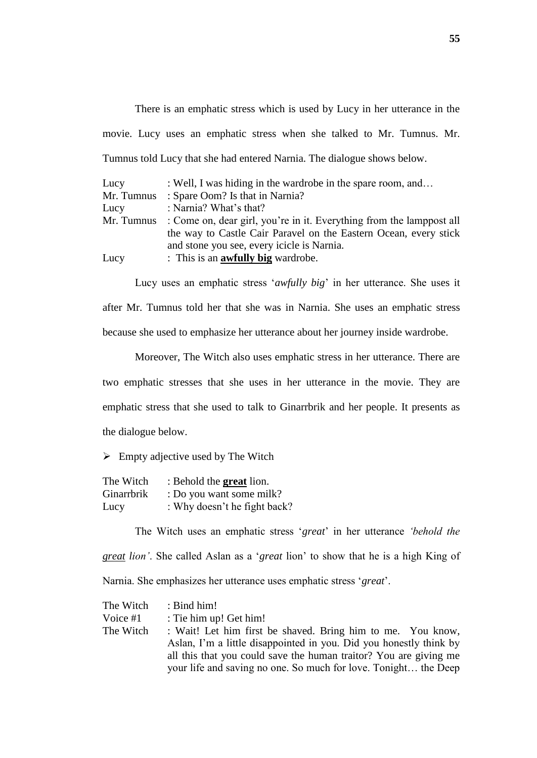There is an emphatic stress which is used by Lucy in her utterance in the movie. Lucy uses an emphatic stress when she talked to Mr. Tumnus. Mr. Tumnus told Lucy that she had entered Narnia. The dialogue shows below.

| Lucy       | : Well, I was hiding in the wardrobe in the spare room, and          |  |
|------------|----------------------------------------------------------------------|--|
| Mr. Tumnus | : Spare Oom? Is that in Narnia?                                      |  |
| Lucy       | : Narnia? What's that?                                               |  |
| Mr. Tumnus | : Come on, dear girl, you're in it. Everything from the lamppost all |  |
|            | the way to Castle Cair Paravel on the Eastern Ocean, every stick     |  |
|            | and stone you see, every icicle is Narnia.                           |  |
| Lucy       | : This is an <b>awfully big</b> wardrobe.                            |  |

Lucy uses an emphatic stress 'awfully big' in her utterance. She uses it after Mr. Tumnus told her that she was in Narnia. She uses an emphatic stress because she used to emphasize her utterance about her journey inside wardrobe.

Moreover, The Witch also uses emphatic stress in her utterance. There are two emphatic stresses that she uses in her utterance in the movie. They are emphatic stress that she used to talk to Ginarrbrik and her people. It presents as the dialogue below.

 $\triangleright$  Empty adjective used by The Witch

| The Witch  | : Behold the <b>great</b> lion. |
|------------|---------------------------------|
| Ginarrbrik | : Do you want some milk?        |
| Lucy       | : Why doesn't he fight back?    |

The Witch uses an emphatic stress "*great*" in her utterance *"behold the great lion"*. She called Aslan as a "*great* lion" to show that he is a high King of Narnia. She emphasizes her utterance uses emphatic stress "*great*".

| The Witch | $:$ Bind him!                                                      |
|-----------|--------------------------------------------------------------------|
| Voice #1  | : Tie him up! Get him!                                             |
| The Witch | : Wait! Let him first be shaved. Bring him to me. You know,        |
|           | Aslan, I'm a little disappointed in you. Did you honestly think by |
|           | all this that you could save the human traitor? You are giving me  |
|           | your life and saving no one. So much for love. Tonight the Deep    |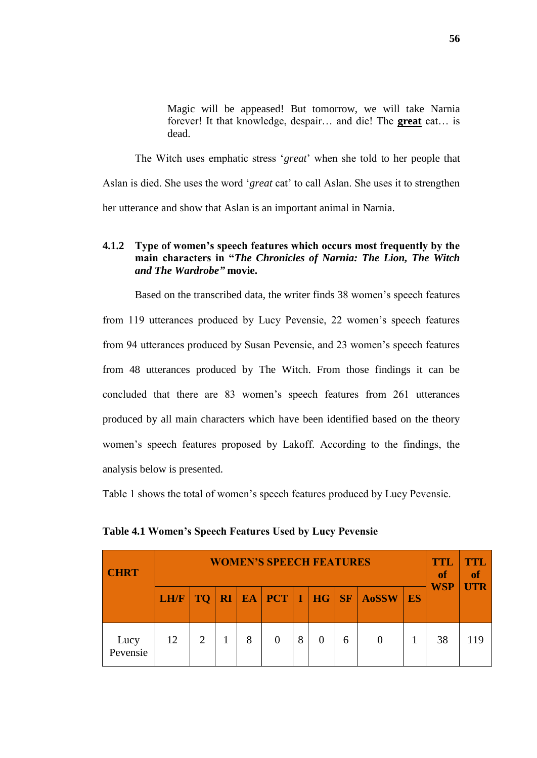Magic will be appeased! But tomorrow, we will take Narnia forever! It that knowledge, despair… and die! The **great** cat… is dead.

The Witch uses emphatic stress "*great*" when she told to her people that Aslan is died. She uses the word "*great* cat" to call Aslan. She uses it to strengthen her utterance and show that Aslan is an important animal in Narnia.

# **4.1.2 Type of women's speech features which occurs most frequently by the main characters in "***The Chronicles of Narnia: The Lion, The Witch and The Wardrobe"* **movie.**

Based on the transcribed data, the writer finds 38 women"s speech features from 119 utterances produced by Lucy Pevensie, 22 women"s speech features from 94 utterances produced by Susan Pevensie, and 23 women"s speech features from 48 utterances produced by The Witch. From those findings it can be concluded that there are 83 women"s speech features from 261 utterances produced by all main characters which have been identified based on the theory women"s speech features proposed by Lakoff. According to the findings, the analysis below is presented.

Table 1 shows the total of women"s speech features produced by Lucy Pevensie.

| <b>CHRT</b>      |      | <b>WOMEN'S SPEECH FEATURES</b> |  |   |  |   |   |   |                                            |    |            |            |  |
|------------------|------|--------------------------------|--|---|--|---|---|---|--------------------------------------------|----|------------|------------|--|
|                  | LH/F | <b>TQ</b>                      |  |   |  |   |   |   | <b>RI   EA   PCT   I   HG   SF   A0SSW</b> | ES | <b>WSP</b> | <b>UTR</b> |  |
| Lucy<br>Pevensie | 12   | 2                              |  | 8 |  | 8 | 0 | 6 |                                            |    | 38         | 119        |  |

**Table 4.1 Women's Speech Features Used by Lucy Pevensie**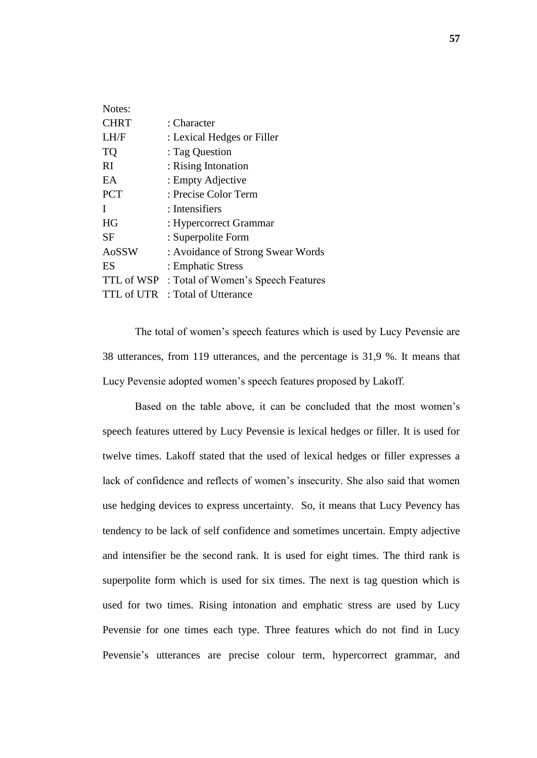| Notes:      |                                    |
|-------------|------------------------------------|
| <b>CHRT</b> | : Character                        |
| LH/F        | : Lexical Hedges or Filler         |
| <b>TQ</b>   | : Tag Question                     |
| RI          | : Rising Intonation                |
| EA          | : Empty Adjective                  |
| <b>PCT</b>  | : Precise Color Term               |
| I           | : Intensifiers                     |
| <b>HG</b>   | : Hypercorrect Grammar             |
| <b>SF</b>   | : Superpolite Form                 |
| AoSSW       | : Avoidance of Strong Swear Words  |
| ES          | : Emphatic Stress                  |
| TTL of WSP  | : Total of Women's Speech Features |
| TTL of UTR  | : Total of Utterance               |

The total of women"s speech features which is used by Lucy Pevensie are 38 utterances, from 119 utterances, and the percentage is 31,9 %. It means that Lucy Pevensie adopted women"s speech features proposed by Lakoff.

Based on the table above, it can be concluded that the most women"s speech features uttered by Lucy Pevensie is lexical hedges or filler. It is used for twelve times. Lakoff stated that the used of lexical hedges or filler expresses a lack of confidence and reflects of women"s insecurity. She also said that women use hedging devices to express uncertainty. So, it means that Lucy Pevency has tendency to be lack of self confidence and sometimes uncertain. Empty adjective and intensifier be the second rank. It is used for eight times. The third rank is superpolite form which is used for six times. The next is tag question which is used for two times. Rising intonation and emphatic stress are used by Lucy Pevensie for one times each type. Three features which do not find in Lucy Pevensie's utterances are precise colour term, hypercorrect grammar, and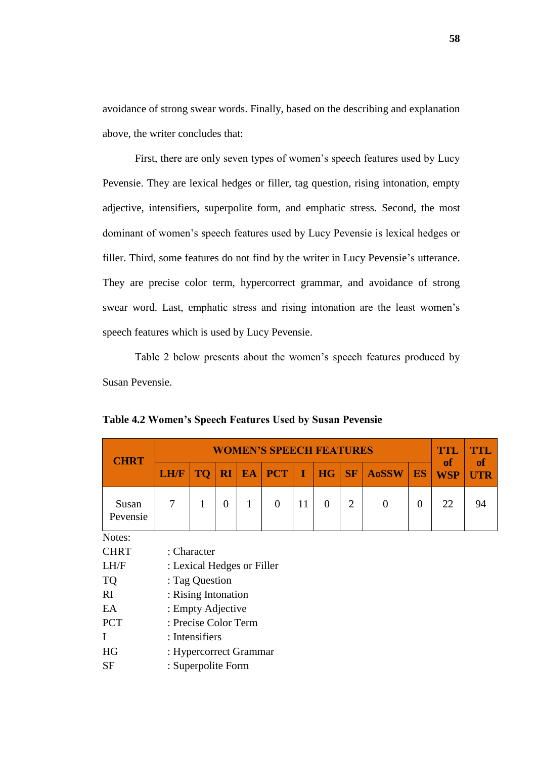avoidance of strong swear words. Finally, based on the describing and explanation above, the writer concludes that:

First, there are only seven types of women's speech features used by Lucy Pevensie. They are lexical hedges or filler, tag question, rising intonation, empty adjective, intensifiers, superpolite form, and emphatic stress. Second, the most dominant of women"s speech features used by Lucy Pevensie is lexical hedges or filler. Third, some features do not find by the writer in Lucy Pevensie"s utterance. They are precise color term, hypercorrect grammar, and avoidance of strong swear word. Last, emphatic stress and rising intonation are the least women"s speech features which is used by Lucy Pevensie.

Table 2 below presents about the women"s speech features produced by Susan Pevensie.

| <b>CHRT</b>       |                |                            |                |           | <b>WOMEN'S SPEECH FEATURES</b> |    |                |                |                |                | <b>TTL</b>              | <b>TTL</b>              |  |
|-------------------|----------------|----------------------------|----------------|-----------|--------------------------------|----|----------------|----------------|----------------|----------------|-------------------------|-------------------------|--|
|                   | <b>LH/F</b>    | <b>TQ</b>                  | RI             | <b>EA</b> | <b>PCT</b>                     | I  | <b>HG</b>      | <b>SF</b>      | <b>AoSSW</b>   | <b>ES</b>      | <b>of</b><br><b>WSP</b> | <b>of</b><br><b>UTR</b> |  |
| Susan<br>Pevensie | $\overline{7}$ | 1                          | $\overline{0}$ | 1         | $\overline{0}$                 | 11 | $\overline{0}$ | $\overline{2}$ | $\overline{0}$ | $\overline{0}$ | 22                      | 94                      |  |
| Notes:            |                |                            |                |           |                                |    |                |                |                |                |                         |                         |  |
| <b>CHRT</b>       |                | : Character                |                |           |                                |    |                |                |                |                |                         |                         |  |
| LH/F              |                | : Lexical Hedges or Filler |                |           |                                |    |                |                |                |                |                         |                         |  |
| <b>TQ</b>         |                | : Tag Question             |                |           |                                |    |                |                |                |                |                         |                         |  |
| RI                |                | : Rising Intonation        |                |           |                                |    |                |                |                |                |                         |                         |  |
| EA                |                | : Empty Adjective          |                |           |                                |    |                |                |                |                |                         |                         |  |
| <b>PCT</b>        |                | : Precise Color Term       |                |           |                                |    |                |                |                |                |                         |                         |  |
| I                 | : Intensifiers |                            |                |           |                                |    |                |                |                |                |                         |                         |  |
| HG                |                | : Hypercorrect Grammar     |                |           |                                |    |                |                |                |                |                         |                         |  |
| <b>SF</b>         |                | : Superpolite Form         |                |           |                                |    |                |                |                |                |                         |                         |  |

**Table 4.2 Women's Speech Features Used by Susan Pevensie**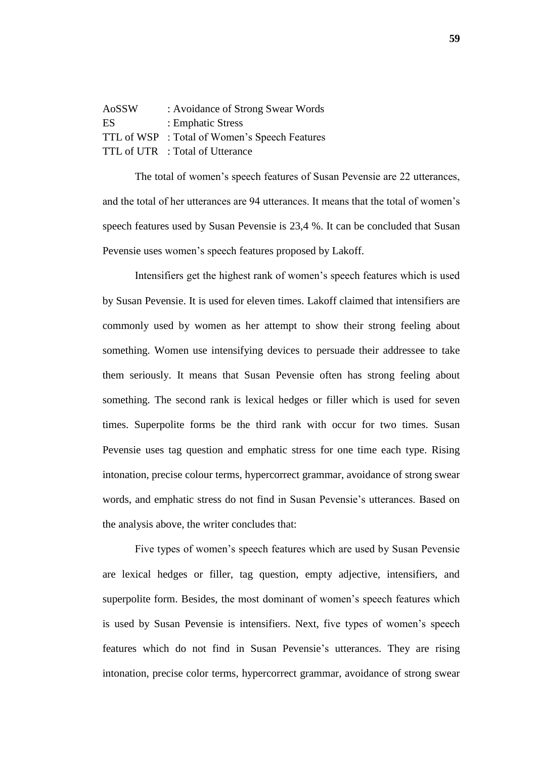| AoSSW | : Avoidance of Strong Swear Words             |
|-------|-----------------------------------------------|
| ES    | : Emphatic Stress                             |
|       | TTL of WSP : Total of Women's Speech Features |
|       | TTL of UTR : Total of Utterance               |

The total of women"s speech features of Susan Pevensie are 22 utterances, and the total of her utterances are 94 utterances. It means that the total of women"s speech features used by Susan Pevensie is 23,4 %. It can be concluded that Susan Pevensie uses women"s speech features proposed by Lakoff.

Intensifiers get the highest rank of women"s speech features which is used by Susan Pevensie. It is used for eleven times. Lakoff claimed that intensifiers are commonly used by women as her attempt to show their strong feeling about something. Women use intensifying devices to persuade their addressee to take them seriously. It means that Susan Pevensie often has strong feeling about something. The second rank is lexical hedges or filler which is used for seven times. Superpolite forms be the third rank with occur for two times. Susan Pevensie uses tag question and emphatic stress for one time each type. Rising intonation, precise colour terms, hypercorrect grammar, avoidance of strong swear words, and emphatic stress do not find in Susan Pevensie's utterances. Based on the analysis above, the writer concludes that:

Five types of women"s speech features which are used by Susan Pevensie are lexical hedges or filler, tag question, empty adjective, intensifiers, and superpolite form. Besides, the most dominant of women"s speech features which is used by Susan Pevensie is intensifiers. Next, five types of women"s speech features which do not find in Susan Pevensie's utterances. They are rising intonation, precise color terms, hypercorrect grammar, avoidance of strong swear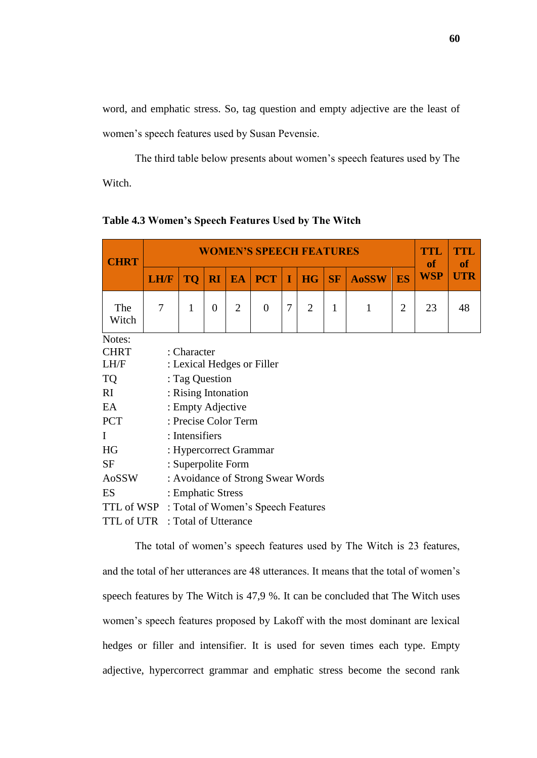word, and emphatic stress. So, tag question and empty adjective are the least of women"s speech features used by Susan Pevensie.

The third table below presents about women"s speech features used by The Witch.

| <b>CHRT</b>                                   |             |                            |                |                | <b>WOMEN'S SPEECH FEATURES</b>    |   |                |              |   |                | TTL<br><b>of</b> | TTL<br><b>of</b> |  |
|-----------------------------------------------|-------------|----------------------------|----------------|----------------|-----------------------------------|---|----------------|--------------|---|----------------|------------------|------------------|--|
|                                               | <b>LH/F</b> | <b>TQ</b>                  | <b>WSP</b>     | <b>UTR</b>     |                                   |   |                |              |   |                |                  |                  |  |
| The<br>Witch                                  | 7           | 1                          | $\overline{0}$ | $\overline{2}$ | $\overline{0}$                    | 7 | $\overline{2}$ | $\mathbf{1}$ | 1 | $\overline{2}$ | 23               | 48               |  |
| Notes:                                        |             |                            |                |                |                                   |   |                |              |   |                |                  |                  |  |
| <b>CHRT</b>                                   |             | : Character                |                |                |                                   |   |                |              |   |                |                  |                  |  |
| LH/F                                          |             | : Lexical Hedges or Filler |                |                |                                   |   |                |              |   |                |                  |                  |  |
| <b>TQ</b>                                     |             | : Tag Question             |                |                |                                   |   |                |              |   |                |                  |                  |  |
| RI                                            |             | : Rising Intonation        |                |                |                                   |   |                |              |   |                |                  |                  |  |
| EA                                            |             | : Empty Adjective          |                |                |                                   |   |                |              |   |                |                  |                  |  |
| <b>PCT</b>                                    |             | : Precise Color Term       |                |                |                                   |   |                |              |   |                |                  |                  |  |
| $\mathbf I$                                   |             | : Intensifiers             |                |                |                                   |   |                |              |   |                |                  |                  |  |
| HG                                            |             | : Hypercorrect Grammar     |                |                |                                   |   |                |              |   |                |                  |                  |  |
| <b>SF</b>                                     |             | : Superpolite Form         |                |                |                                   |   |                |              |   |                |                  |                  |  |
| AoSSW                                         |             |                            |                |                | : Avoidance of Strong Swear Words |   |                |              |   |                |                  |                  |  |
| ES                                            |             | : Emphatic Stress          |                |                |                                   |   |                |              |   |                |                  |                  |  |
| TTL of WSP : Total of Women's Speech Features |             |                            |                |                |                                   |   |                |              |   |                |                  |                  |  |
| TTL of UTR : Total of Utterance               |             |                            |                |                |                                   |   |                |              |   |                |                  |                  |  |

**Table 4.3 Women's Speech Features Used by The Witch**

The total of women"s speech features used by The Witch is 23 features, and the total of her utterances are 48 utterances. It means that the total of women"s speech features by The Witch is 47,9 %. It can be concluded that The Witch uses women"s speech features proposed by Lakoff with the most dominant are lexical hedges or filler and intensifier. It is used for seven times each type. Empty adjective, hypercorrect grammar and emphatic stress become the second rank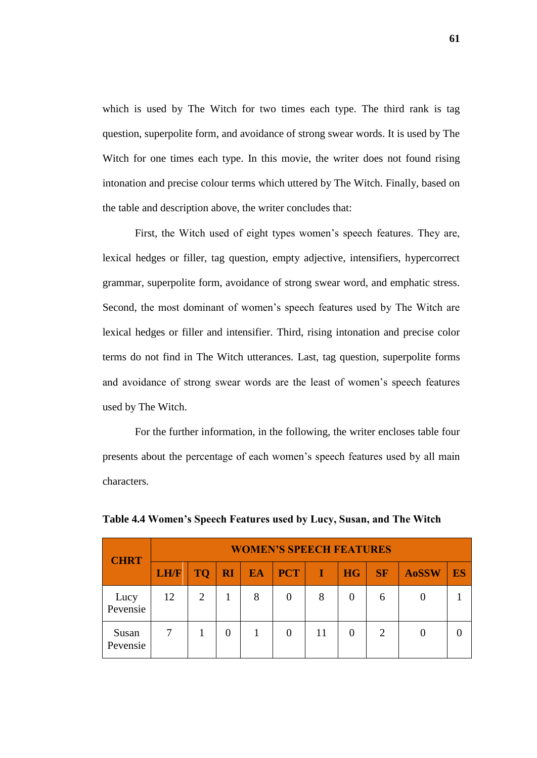which is used by The Witch for two times each type. The third rank is tag question, superpolite form, and avoidance of strong swear words. It is used by The Witch for one times each type. In this movie, the writer does not found rising intonation and precise colour terms which uttered by The Witch. Finally, based on the table and description above, the writer concludes that:

First, the Witch used of eight types women"s speech features. They are, lexical hedges or filler, tag question, empty adjective, intensifiers, hypercorrect grammar, superpolite form, avoidance of strong swear word, and emphatic stress. Second, the most dominant of women's speech features used by The Witch are lexical hedges or filler and intensifier. Third, rising intonation and precise color terms do not find in The Witch utterances. Last, tag question, superpolite forms and avoidance of strong swear words are the least of women"s speech features used by The Witch.

For the further information, in the following, the writer encloses table four presents about the percentage of each women"s speech features used by all main characters.

| <b>CHRT</b>       |             | <b>WOMEN'S SPEECH FEATURES</b> |           |           |            |           |                |               |              |    |  |  |  |  |  |  |
|-------------------|-------------|--------------------------------|-----------|-----------|------------|-----------|----------------|---------------|--------------|----|--|--|--|--|--|--|
|                   | <b>LH/F</b> | <b>TQ</b>                      | <b>RI</b> | <b>EA</b> | <b>PCT</b> | <b>TA</b> | H <sub>G</sub> | <b>SF</b>     | <b>AoSSW</b> | ES |  |  |  |  |  |  |
| Lucy<br>Pevensie  | 12          | 2                              |           | 8         | $\theta$   | 8         | 0              | 6             |              |    |  |  |  |  |  |  |
| Susan<br>Pevensie |             |                                |           |           | $\theta$   | 11        | $\theta$       | $\mathcal{D}$ |              |    |  |  |  |  |  |  |

**Table 4.4 Women's Speech Features used by Lucy, Susan, and The Witch**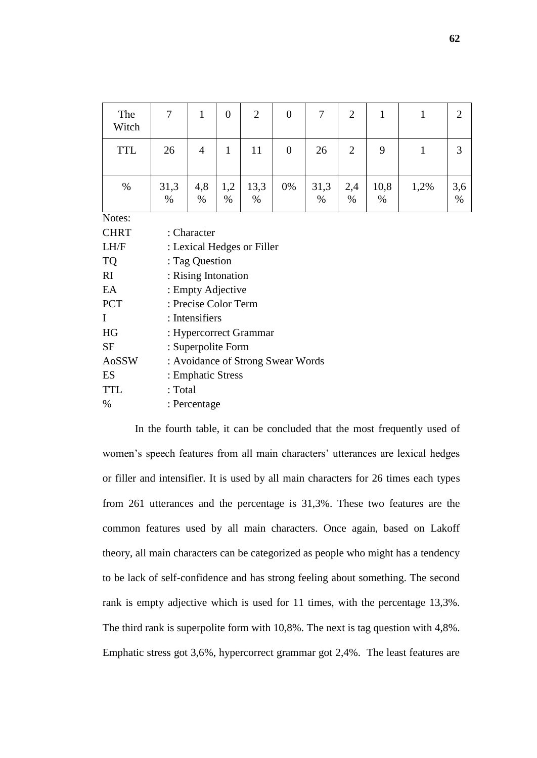| The<br>Witch | 7                 | $\mathbf{1}$               | $\overline{0}$ | $\overline{2}$         | $\overline{0}$                    | 7            | $\overline{2}$ | $\mathbf{1}$ | 1            | $\overline{2}$ |  |  |  |
|--------------|-------------------|----------------------------|----------------|------------------------|-----------------------------------|--------------|----------------|--------------|--------------|----------------|--|--|--|
| <b>TTL</b>   | 26                | $\overline{4}$             | $\mathbf{1}$   | 11                     | $\overline{0}$                    | 26           | $\overline{2}$ | 9            | $\mathbf{1}$ | $\overline{3}$ |  |  |  |
| $\%$         | 31,3<br>%         | 4,8<br>$\%$                | 1,2<br>$\%$    | 13,3<br>%              | 0%                                | 31,3<br>$\%$ | 2,4<br>%       | 10,8<br>$\%$ | 1,2%         | 3,6<br>%       |  |  |  |
| Notes:       |                   |                            |                |                        |                                   |              |                |              |              |                |  |  |  |
| <b>CHRT</b>  | : Character       |                            |                |                        |                                   |              |                |              |              |                |  |  |  |
| LH/F         |                   | : Lexical Hedges or Filler |                |                        |                                   |              |                |              |              |                |  |  |  |
| <b>TQ</b>    |                   | : Tag Question             |                |                        |                                   |              |                |              |              |                |  |  |  |
| RI           |                   | : Rising Intonation        |                |                        |                                   |              |                |              |              |                |  |  |  |
| EA           |                   | : Empty Adjective          |                |                        |                                   |              |                |              |              |                |  |  |  |
| <b>PCT</b>   |                   | : Precise Color Term       |                |                        |                                   |              |                |              |              |                |  |  |  |
| $\bf{I}$     |                   | : Intensifiers             |                |                        |                                   |              |                |              |              |                |  |  |  |
| HG           |                   |                            |                | : Hypercorrect Grammar |                                   |              |                |              |              |                |  |  |  |
| <b>SF</b>    |                   | : Superpolite Form         |                |                        |                                   |              |                |              |              |                |  |  |  |
| AoSSW        |                   |                            |                |                        | : Avoidance of Strong Swear Words |              |                |              |              |                |  |  |  |
| ES           | : Emphatic Stress |                            |                |                        |                                   |              |                |              |              |                |  |  |  |
| <b>TTL</b>   | : Total           |                            |                |                        |                                   |              |                |              |              |                |  |  |  |
| $\%$         | : Percentage      |                            |                |                        |                                   |              |                |              |              |                |  |  |  |

In the fourth table, it can be concluded that the most frequently used of women's speech features from all main characters' utterances are lexical hedges or filler and intensifier. It is used by all main characters for 26 times each types from 261 utterances and the percentage is 31,3%. These two features are the common features used by all main characters. Once again, based on Lakoff theory, all main characters can be categorized as people who might has a tendency to be lack of self-confidence and has strong feeling about something. The second rank is empty adjective which is used for 11 times, with the percentage 13,3%. The third rank is superpolite form with 10,8%. The next is tag question with 4,8%. Emphatic stress got 3,6%, hypercorrect grammar got 2,4%. The least features are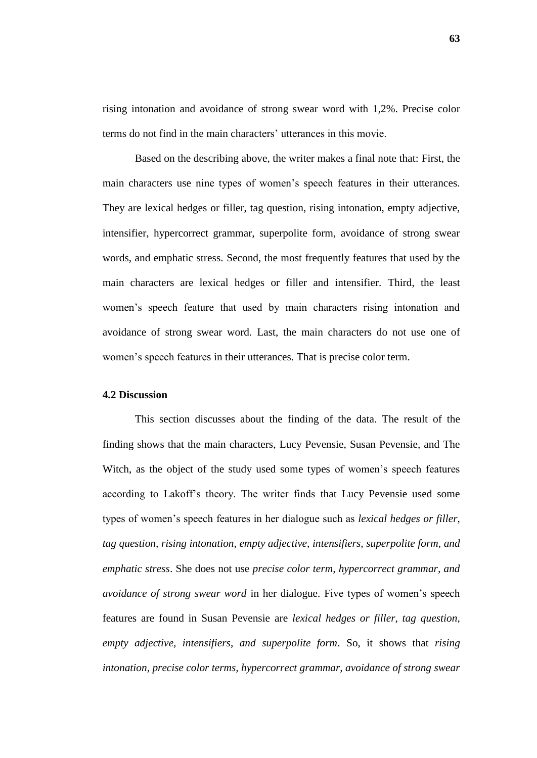rising intonation and avoidance of strong swear word with 1,2%. Precise color terms do not find in the main characters' utterances in this movie.

Based on the describing above, the writer makes a final note that: First, the main characters use nine types of women"s speech features in their utterances. They are lexical hedges or filler, tag question, rising intonation, empty adjective, intensifier, hypercorrect grammar, superpolite form, avoidance of strong swear words, and emphatic stress. Second, the most frequently features that used by the main characters are lexical hedges or filler and intensifier. Third, the least women"s speech feature that used by main characters rising intonation and avoidance of strong swear word. Last, the main characters do not use one of women"s speech features in their utterances. That is precise color term.

#### **4.2 Discussion**

This section discusses about the finding of the data. The result of the finding shows that the main characters, Lucy Pevensie, Susan Pevensie, and The Witch, as the object of the study used some types of women"s speech features according to Lakoff"s theory. The writer finds that Lucy Pevensie used some types of women"s speech features in her dialogue such as *lexical hedges or filler, tag question, rising intonation, empty adjective, intensifiers, superpolite form, and emphatic stress*. She does not use *precise color term, hypercorrect grammar, and avoidance of strong swear word* in her dialogue. Five types of women"s speech features are found in Susan Pevensie are *lexical hedges or filler, tag question, empty adjective, intensifiers, and superpolite form*. So, it shows that *rising intonation, precise color terms, hypercorrect grammar, avoidance of strong swear*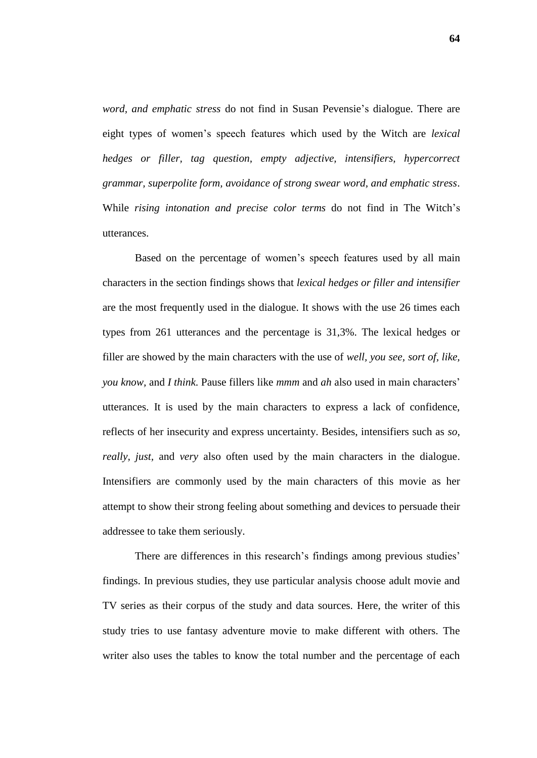*word, and emphatic stress* do not find in Susan Pevensie"s dialogue. There are eight types of women"s speech features which used by the Witch are *lexical hedges or filler, tag question, empty adjective, intensifiers, hypercorrect grammar, superpolite form, avoidance of strong swear word, and emphatic stress*. While *rising intonation and precise color terms* do not find in The Witch"s utterances.

Based on the percentage of women's speech features used by all main characters in the section findings shows that *lexical hedges or filler and intensifier* are the most frequently used in the dialogue. It shows with the use 26 times each types from 261 utterances and the percentage is 31,3%. The lexical hedges or filler are showed by the main characters with the use of *well, you see, sort of, like, you know,* and *I think*. Pause fillers like *mmm* and *ah* also used in main characters" utterances. It is used by the main characters to express a lack of confidence, reflects of her insecurity and express uncertainty. Besides, intensifiers such as *so, really, just,* and *very* also often used by the main characters in the dialogue. Intensifiers are commonly used by the main characters of this movie as her attempt to show their strong feeling about something and devices to persuade their addressee to take them seriously.

There are differences in this research's findings among previous studies' findings. In previous studies, they use particular analysis choose adult movie and TV series as their corpus of the study and data sources. Here, the writer of this study tries to use fantasy adventure movie to make different with others. The writer also uses the tables to know the total number and the percentage of each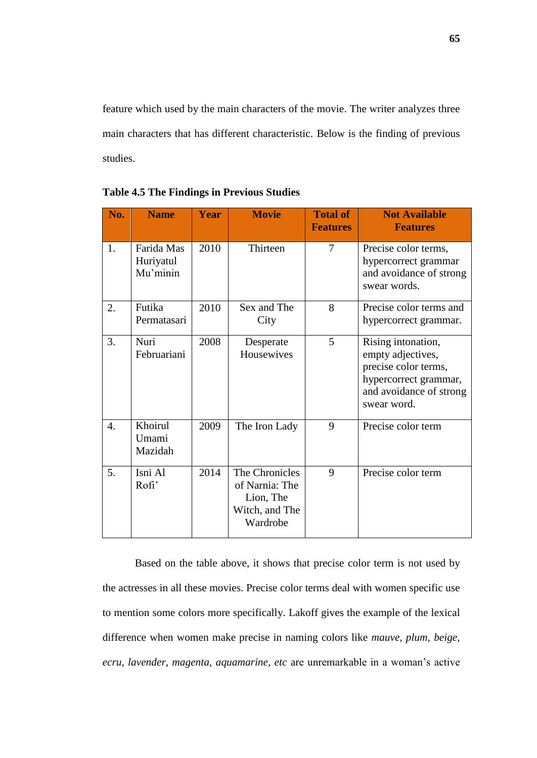feature which used by the main characters of the movie. The writer analyzes three main characters that has different characteristic. Below is the finding of previous studies.

| No. | <b>Name</b>                         | <b>Year</b> | <b>Movie</b>                                                                | <b>Total of</b><br><b>Features</b> | <b>Not Available</b><br><b>Features</b>                                                                                            |
|-----|-------------------------------------|-------------|-----------------------------------------------------------------------------|------------------------------------|------------------------------------------------------------------------------------------------------------------------------------|
| 1.  | Farida Mas<br>Huriyatul<br>Mu'minin | 2010        | Thirteen                                                                    | $\overline{7}$                     | Precise color terms,<br>hypercorrect grammar<br>and avoidance of strong<br>swear words.                                            |
| 2.  | Futika<br>Permatasari               | 2010        | Sex and The<br>City                                                         | 8                                  | Precise color terms and<br>hypercorrect grammar.                                                                                   |
| 3.  | Nuri<br>Februariani                 | 2008        | Desperate<br>Housewives                                                     | 5                                  | Rising intonation,<br>empty adjectives,<br>precise color terms,<br>hypercorrect grammar,<br>and avoidance of strong<br>swear word. |
| 4.  | Khoirul<br>Umami<br>Mazidah         | 2009        | The Iron Lady                                                               | 9                                  | Precise color term                                                                                                                 |
| 5.  | Isni Al<br>Rofi'                    | 2014        | The Chronicles<br>of Narnia: The<br>Lion, The<br>Witch, and The<br>Wardrobe | 9                                  | Precise color term                                                                                                                 |

**Table 4.5 The Findings in Previous Studies**

Based on the table above, it shows that precise color term is not used by the actresses in all these movies. Precise color terms deal with women specific use to mention some colors more specifically. Lakoff gives the example of the lexical difference when women make precise in naming colors like *mauve, plum, beige, ecru, lavender, magenta, aquamarine, etc* are unremarkable in a woman"s active